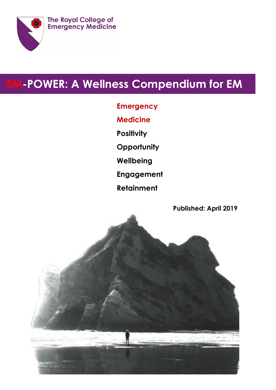

# **EM-POWER: A Wellness Compendium for EM**

**Emergency**

**Medicine**

**Positivity**

**Opportunity**

**Wellbeing**

**Engagement**

**Retainment**

**Published: April 2019**

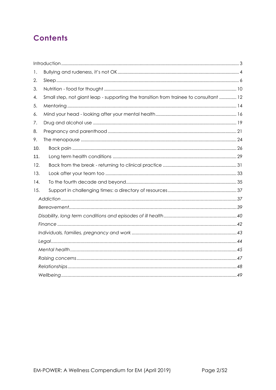## **Contents**

| 1.  |                                                                                       |
|-----|---------------------------------------------------------------------------------------|
| 2.  |                                                                                       |
| 3.  |                                                                                       |
| 4.  | Small step, not giant leap - supporting the transition from trainee to consultant  12 |
| 5.  |                                                                                       |
| 6.  |                                                                                       |
| 7.  |                                                                                       |
| 8.  |                                                                                       |
| 9.  |                                                                                       |
| 10. |                                                                                       |
| 11. |                                                                                       |
| 12. |                                                                                       |
| 13. |                                                                                       |
| 14. |                                                                                       |
| 15. |                                                                                       |
|     |                                                                                       |
|     |                                                                                       |
|     |                                                                                       |
|     |                                                                                       |
|     |                                                                                       |
|     |                                                                                       |
|     |                                                                                       |
|     |                                                                                       |
|     |                                                                                       |
|     |                                                                                       |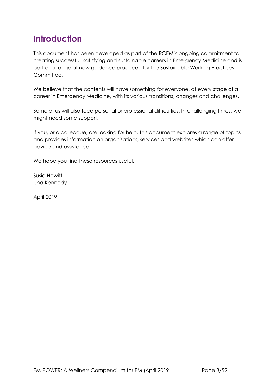## <span id="page-2-0"></span>**Introduction**

This document has been developed as part of the RCEM's ongoing commitment to creating successful, satisfying and sustainable careers in Emergency Medicine and is part of a range of new guidance produced by the Sustainable Working Practices Committee.

We believe that the contents will have something for everyone, at every stage of a career in Emergency Medicine, with its various transitions, changes and challenges.

Some of us will also face personal or professional difficulties. In challenging times, we might need some support.

If you, or a colleague, are looking for help, this document explores a range of topics and provides information on organisations, services and websites which can offer advice and assistance.

We hope you find these resources useful.

Susie Hewitt Una Kennedy

April 2019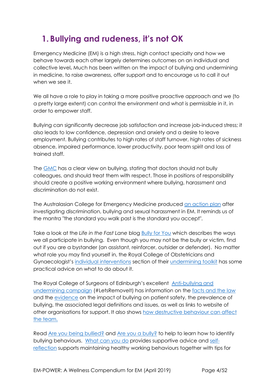## <span id="page-3-0"></span>**1. Bullying and rudeness, it's not OK**

Emergency Medicine (EM) is a high stress, high contact specialty and how we behave towards each other largely determines outcomes on an individual and collective level**.** Much has been written on the impact of bullying and undermining in medicine, to raise awareness, offer support and to encourage us to call it out when we see it.

We all have a role to play in taking a more positive proactive approach and we (to a pretty large extent) can control the environment and what is permissible in it, in order to empower staff.

Bullying can significantly decrease job satisfaction and increase job-induced stress; it also leads to low confidence, depression and anxiety and a desire to leave employment. Bullying contributes to high rates of staff turnover, high rates of sickness absence, impaired performance, lower productivity, poor team spirit and loss of trained staff.

The [GMC](https://www.gmc-uk.org/ethical-guidance/ethical-guidance-for-doctors) has a clear view on bullying, stating that doctors should not bully colleagues, and should treat them with respect. Those in positions of responsibility should create a positive working environment where bullying, harassment and discrimination do not exist.

The Australasian College for Emergency Medicine produced [an action plan](https://acem.org.au/getmedia/533f9238-b12f-44ca-aa2a-38582002591c/ACEM_DBSH_Action_Plan.aspx) after investigating discrimination, bullying and sexual harassment in EM. It reminds us of the mantra "the standard you walk past is the standard you accept".

Take a look at the *Life in the Fast Lane* blog [Bully for You](https://lifeinthefastlane.com/bully-for-you/) which describes the ways we all participate in bullying. Even though you may not be the bully or victim, find out if you are a bystander (an assistant, reinforcer, outsider or defender). No matter what role you may find yourself in, the Royal College of Obstetricians and Gynaecologist's [individual interventions](https://www.rcog.org.uk/en/careers-training/workplace-workforce-issues/improving-workplace-behaviours-dealing-with-undermining/undermining-toolkit/individual-interventions/) section of their [undermining toolkit](https://www.rcog.org.uk/underminingtoolkit) has some practical advice on what to do about it.

The Royal College of Surgeons of Edinburgh's excellent [Anti-bullying and](https://www.rcsed.ac.uk/professional-support-development-resources/anti-bullying-and-undermining-campaign)  [undermining campaign](https://www.rcsed.ac.uk/professional-support-development-resources/anti-bullying-and-undermining-campaign) (#LetsRemovelt) has information on the [facts and the law](https://www.rcsed.ac.uk/professional-support-development-resources/anti-bullying-and-undermining-campaign/the-facts-and-the-law) and the [evidence](https://www.rcsed.ac.uk/professional-support-development-resources/anti-bullying-and-undermining-campaign/literature-and-curriculum) on the impact of bullying on patient safety, the prevalence of bullying, the associated legal definitions and issues, as well as links to website of other organisations for support. It also shows [how destructive behaviour can affect](https://www.rcsed.ac.uk/professional-support-development-resources/anti-bullying-and-undermining-campaign/how-destructive-behaviour-can-affect-the-team)  [the team.](https://www.rcsed.ac.uk/professional-support-development-resources/anti-bullying-and-undermining-campaign/how-destructive-behaviour-can-affect-the-team)

Read [Are you being bullied?](https://www.rcsed.ac.uk/professional-support-development-resources/anti-bullying-and-undermining-campaign/are-you-being-bullied) and [Are you a bully?](https://www.rcsed.ac.uk/professional-support-development-resources/anti-bullying-and-undermining-campaign/are-you-a-bully) to help to learn how to identify bullying behaviours. [What can you do](https://www.rcsed.ac.uk/professional-support-development-resources/anti-bullying-and-undermining-campaign/what-can-you-do) provides supportive advice and [self](https://www.rcsed.ac.uk/professional-support-development-resources/anti-bullying-and-undermining-campaign/self-reflection)[reflection](https://www.rcsed.ac.uk/professional-support-development-resources/anti-bullying-and-undermining-campaign/self-reflection) supports maintaining healthy working behaviours together with tips for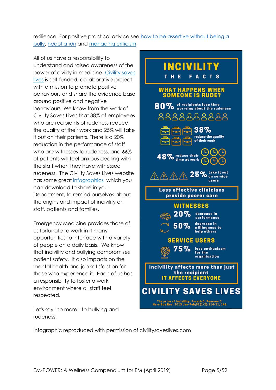resilience. For positive practical advice see how to be assertive without being a [bully,](https://www.rcsed.ac.uk/professional-support-development-resources/anti-bullying-and-undermining-campaign/how-to-be-assertive-without-being-a-bully) [negotiation](https://www.rcsed.ac.uk/professional-support-development-resources/anti-bullying-and-undermining-campaign/negotiation) and [managing criticism.](https://www.rcsed.ac.uk/professional-support-development-resources/anti-bullying-and-undermining-campaign/managing-criticism)

All of us have a responsibility to understand and raised awareness of the power of civility in medicine. [Civility saves](https://www.civilitysaveslives.com/)  [lives](https://www.civilitysaveslives.com/) is self-funded, collaborative project with a mission to promote positive behaviours and share the evidence base around positive and negative behaviours. We know from the work of Civility Saves Lives that 38% of employees who are recipients of rudeness reduce the quality of their work and 25% will take it out on their patients. There is a 20% reduction in the performance of staff who are witnesses to rudeness, and 66% of patients will feel anxious dealing with the staff when they have witnessed rudeness. The Civility Saves Lives website has some great [infographics](https://www.civilitysaveslives.com/copy-of-blog) which you can download to share in your Department, to remind ourselves about the origins and impact of incivility on staff, patients and families.

Emergency Medicine provides those of us fortunate to work in it many opportunities to interface with a variety of people on a daily basis. We know that incivility and bullying compromises patient safety. It also impacts on the mental health and job satisfaction for those who experience it. Each of us has a responsibility to foster a work environment where all staff feel respected.

Let's say "no more!" to bullying and rudeness.



Infographic reproduced with permission of civilitysaveslives.com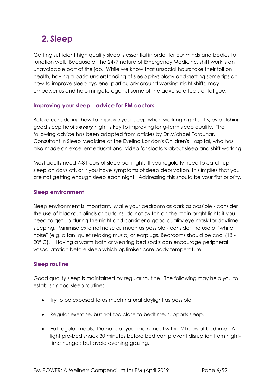## <span id="page-5-0"></span>**2. Sleep**

Getting sufficient high quality sleep is essential in order for our minds and bodies to function well. Because of the 24/7 nature of Emergency Medicine, shift work is an unavoidable part of the job. While we know that unsocial hours take their toll on health, having a basic understanding of sleep physiology and getting some tips on how to improve sleep hygiene, particularly around working night shifts, may empower us and help mitigate against some of the adverse effects of fatigue.

## **Improving your sleep - advice for EM doctors**

Before considering how to improve your sleep when working night shifts, establishing good sleep habits *every* night is key to improving long-term sleep quality. The following advice has been adapted from articles by Dr Michael Farquhar, Consultant in Sleep Medicine at the Evelina London's Children's Hospital, who has also made an excellent educational video for doctors about sleep and shift working.

Most adults need 7-8 hours of sleep per night. If you regularly need to catch up sleep on days off, or if you have symptoms of sleep deprivation, this implies that you are not getting enough sleep each night. Addressing this should be your first priority.

## **Sleep environment**

Sleep environment is important. Make your bedroom as dark as possible - consider the use of blackout blinds or curtains, do not switch on the main bright lights if you need to get up during the night and consider a good quality eye mask for daytime sleeping. Minimise external noise as much as possible - consider the use of "white noise" (e.g. a fan, quiet relaxing music) or earplugs. Bedrooms should be cool (18 - 20° C). Having a warm bath or wearing bed socks can encourage peripheral vasodilatation before sleep which optimises core body temperature.

## **Sleep routine**

Good quality sleep is maintained by regular routine. The following may help you to establish good sleep routine:

- Try to be exposed to as much natural daylight as possible.
- Regular exercise, but not too close to bedtime, supports sleep.
- Eat regular meals. Do not eat your main meal within 2 hours of bedtime. A light pre-bed snack 30 minutes before bed can prevent disruption from nighttime hunger; but avoid evening grazing.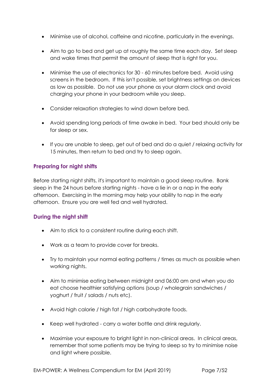- Minimise use of alcohol, caffeine and nicotine, particularly in the evenings.
- Aim to go to bed and get up at roughly the same time each day. Set sleep and wake times that permit the amount of sleep that is right for you.
- Minimise the use of electronics for 30 60 minutes before bed. Avoid using screens in the bedroom. If this isn't possible, set brightness settings on devices as low as possible. Do not use your phone as your alarm clock and avoid charging your phone in your bedroom while you sleep.
- Consider relaxation strategies to wind down before bed.
- Avoid spending long periods of time awake in bed. Your bed should only be for sleep or sex.
- If you are unable to sleep, get out of bed and do a quiet / relaxing activity for 15 minutes, then return to bed and try to sleep again.

## **Preparing for night shifts**

Before starting night shifts, it's important to maintain a good sleep routine. Bank sleep in the 24 hours before starting nights - have a lie in or a nap in the early afternoon. Exercising in the morning may help your ability to nap in the early afternoon. Ensure you are well fed and well hydrated.

## **During the night shift**

- Aim to stick to a consistent routine during each shift.
- Work as a team to provide cover for breaks.
- Try to maintain your normal eating patterns / times as much as possible when working nights.
- Aim to minimise eating between midnight and 06:00 am and when you do eat choose healthier satisfying options (soup / wholegrain sandwiches / yoghurt / fruit / salads / nuts etc).
- Avoid high calorie / high fat / high carbohydrate foods.
- Keep well hydrated carry a water bottle and drink regularly.
- Maximise your exposure to bright light in non-clinical areas. In clinical areas, remember that some patients may be trying to sleep so try to minimise noise and light where possible.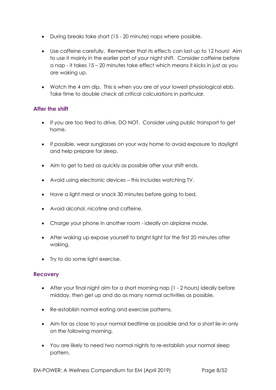- During breaks take short (15 20 minute) naps where possible.
- Use caffeine carefully. Remember that its effects can last up to 12 hours! Aim to use it mainly in the earlier part of your night shift. Consider caffeine before a nap - it takes 15 – 20 minutes take effect which means it kicks in just as you are waking up.
- Watch the 4 am dip. This is when you are at your lowest physiological ebb. Take time to double check all critical calculations in particular.

## **After the shift**

- If you are too tired to drive, DO NOT. Consider using public transport to get home.
- If possible, wear sunglasses on your way home to avoid exposure to daylight and help prepare for sleep.
- Aim to get to bed as quickly as possible after your shift ends.
- Avoid using electronic devices this includes watching TV.
- Have a light meal or snack 30 minutes before going to bed.
- Avoid alcohol, nicotine and caffeine.
- Charge your phone in another room ideally on airplane mode.
- After waking up expose yourself to bright light for the first 20 minutes after waking.
- Try to do some light exercise.

## **Recovery**

- After your final night aim for a short morning nap (1 2 hours) ideally before midday, then get up and do as many normal activities as possible.
- Re-establish normal eating and exercise patterns.
- Aim for as close to your normal bedtime as possible and for a short lie-in only on the following morning.
- You are likely to need two normal nights to re-establish your normal sleep pattern.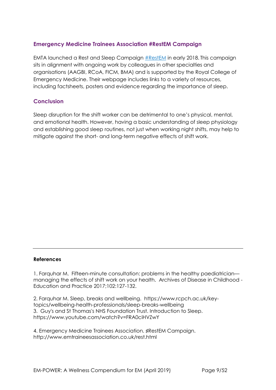## **Emergency Medicine Trainees Association #RestEM Campaign**

EMTA launched a Rest and Sleep Campaign [#RestEM](http://www.emtraineesassociation.co.uk/rest.html) in early 2018. This campaign sits in alignment with ongoing work by colleagues in other specialties and organisations (AAGBI, RCoA, FICM, BMA) and is supported by the Royal College of Emergency Medicine. Their webpage includes links to a variety of resources, including factsheets, posters and evidence regarding the importance of sleep.

### **Conclusion**

Sleep disruption for the shift worker can be detrimental to one's physical, mental, and emotional health. However, having a basic understanding of sleep physiology and establishing good sleep routines, not just when working night shifts, may help to mitigate against the short- and long-term negative effects of shift work.

#### **References**

1. Farquhar M. Fifteen-minute consultation: problems in the healthy paediatrician managing the effects of shift work on your health. Archives of Disease in Childhood - Education and Practice 2017;102:127-132.

2. Farquhar M. Sleep, breaks and wellbeing. https://www.rcpch.ac.uk/keytopics/wellbeing-health-professionals/sleep-breaks-wellbeing 3. Guy's and St Thomas's NHS Foundation Trust. Introduction to Sleep. https://www.youtube.com/watch?v=FRA0ciHVZwY

4. Emergency Medicine Trainees Association. ♯RestEM Campaign. http://www.emtraineesassociation.co.uk/rest.html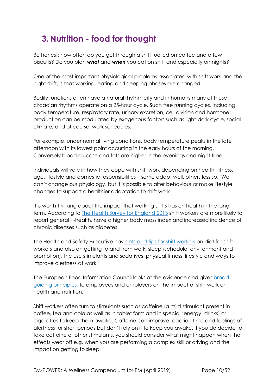## <span id="page-9-0"></span>**3. Nutrition - food for thought**

Be honest; how often do you get through a shift fuelled on coffee and a few biscuits? Do you plan *what* and *when* you eat on shift and especially on nights?

One of the most important physiological problems associated with shift work and the night shift, is that working, eating and sleeping phases are changed.

Bodily functions often have a natural rhythmicity and in humans many of these circadian rhythms operate on a 25-hour cycle. Such free running cycles, including body temperature, respiratory rate, urinary excretion, cell division and hormone production can be modulated by exogenous factors such as light-dark cycle, social climate, and of course, work schedules.

For example, under normal living conditions, body temperature peaks in the late afternoon with its lowest point occurring in the early hours of the morning. Conversely blood glucose and fats are higher in the evenings and night time.

Individuals will vary in how they cope with shift work depending on health, fitness, age, lifestyle and domestic responsibilities – some adapt well, others less so. We can't change our physiology, but it is possible to alter behaviour or make lifestyle changes to support a healthier adaptation to shift work.

It is worth thinking about the impact that working shifts has on health in the long term. According to [The Health Survey for England 2013](http://www.hscic.gov.uk/catalogue/PUB16076) shift workers are more likely to report general ill-health, have a higher body mass index and increased incidence of chronic diseases such as diabetes.

The Health and Safety Executive has [hints and tips for shift workers](http://www.hse.gov.uk/humanfactors/topics/shift-workers.htm) [o](http://www.hse.gov.uk/humanfactors/topics/shift-workers.htm)n diet for shift workers and also on getting to and from work, sleep (schedule, environment and promotion), the use stimulants and sedatives, physical fitness, lifestyle and ways to improve alertness at work.

The European Food Information Council looks at the evidence and gives [broad](https://www.eufic.org/en/healthy-living/article/shift-work-implications-for-health-and-nutrition)  [guiding principles](https://www.eufic.org/en/healthy-living/article/shift-work-implications-for-health-and-nutrition) [t](https://www.eufic.org/en/healthy-living/article/shift-work-implications-for-health-and-nutrition)o employees and employers on the impact of shift work on health and nutrition.

Shift workers often turn to stimulants such as caffeine (a mild stimulant present in coffee, tea and cola as well as in tablet form and in special 'energy' drinks) or cigarettes to keep them awake. Caffeine can improve reaction time and feelings of alertness for short periods but don't rely on it to keep you awake. If you do decide to take caffeine or other stimulants, you should consider what might happen when the effects wear off e.g. when you are performing a complex skill or driving and the impact on getting to sleep.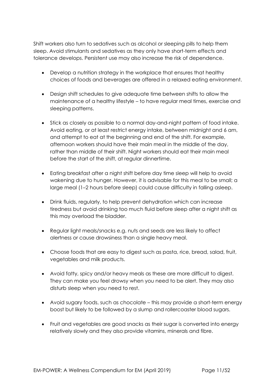Shift workers also turn to sedatives such as alcohol or sleeping pills to help them sleep. Avoid stimulants and sedatives as they only have short-term effects and tolerance develops. Persistent use may also increase the risk of dependence.

- Develop a nutrition strategy in the workplace that ensures that healthy choices of foods and beverages are offered in a relaxed eating environment.
- Design shift schedules to give adequate time between shifts to allow the maintenance of a healthy lifestyle – to have regular meal times, exercise and sleeping patterns.
- Stick as closely as possible to a normal day-and-night pattern of food intake. Avoid eating, or at least restrict energy intake, between midnight and 6 am, and attempt to eat at the beginning and end of the shift. For example, afternoon workers should have their main meal in the middle of the day, rather than middle of their shift. Night workers should eat their main meal before the start of the shift, at regular dinnertime.
- Eating breakfast after a night shift before day time sleep will help to avoid wakening due to hunger. However, it is advisable for this meal to be small; a large meal (1–2 hours before sleep) could cause difficulty in falling asleep.
- Drink fluids, regularly, to help prevent dehydration which can increase tiredness but avoid drinking too much fluid before sleep after a night shift as this may overload the bladder.
- Regular light meals/snacks e.g. nuts and seeds are less likely to affect alertness or cause drowsiness than a single heavy meal.
- Choose foods that are easy to digest such as pasta, rice, bread, salad, fruit, vegetables and milk products.
- Avoid fatty, spicy and/or heavy meals as these are more difficult to digest. They can make you feel drowsy when you need to be alert. They may also disturb sleep when you need to rest.
- Avoid sugary foods, such as chocolate this may provide a short-term energy boost but likely to be followed by a slump and rollercoaster blood sugars.
- Fruit and vegetables are good snacks as their sugar is converted into energy relatively slowly and they also provide vitamins, minerals and fibre.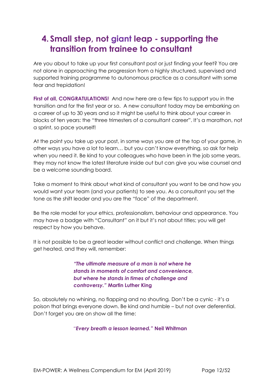## <span id="page-11-0"></span>**4. Small step, not giant leap - supporting the transition from trainee to consultant**

Are you about to take up your first consultant post or just finding your feet? You are not alone in approaching the progression from a highly structured, supervised and supported training programme to autonomous practice as a consultant with some fear and trepidation!

**First of all, CONGRATULATIONS!** And now here are a few tips to support you in the transition and for the first year or so. A new consultant today may be embarking on a career of up to 30 years and so it might be useful to think about your career in blocks of ten years: the "three trimesters of a consultant career". It's a marathon, not a sprint, so pace yourself!

At the point you take up your post, in some ways you are at the top of your game, in other ways you have a lot to learn… but you can't know everything, so ask for help when you need it. Be kind to your colleagues who have been in the job some years, they may not know the latest literature inside out but can give you wise counsel and be a welcome sounding board.

Take a moment to think about what kind of consultant you want to be and how you would want your team (and your patients) to see you. As a consultant you set the tone as the shift leader and you are the "face" of the department.

Be the role model for your ethics, professionalism, behaviour and appearance. You may have a badge with "Consultant" on it but it's not about titles; you will get respect by how you behave.

It is not possible to be a great leader without conflict and challenge. When things get heated, and they will, remember:

> *"The ultimate measure of a man is not where he stands in moments of comfort and convenience, but where he stands in times of challenge and controversy."* **Martin Luther King**

So, absolutely no whining, no flapping and no shouting*.* Don't be a cynic - it's a poison that brings everyone down. Be kind and humble – but not over deferential. Don't forget you are on show all the time:

*"Every breath a lesson learned."* **Neil Whitman**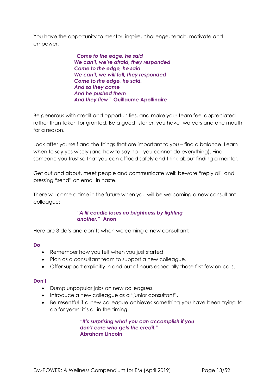You have the opportunity to mentor, inspire, challenge, teach, motivate and empower:

> *"Come to the edge, he said We can't, we're afraid, they responded Come to the edge, he said We can't, we will fall, they responded Come to the edge, he said. And so they came And he pushed them And they flew"* **Guillaume Apollinaire**

Be generous with credit and opportunities, and make your team feel appreciated rather than taken for granted. Be a good listener, you have two ears and one mouth for a reason.

Look after yourself and the things that are important to you – find a balance. Learn when to say yes wisely (and how to say no – you cannot do everything). Find someone you trust so that you can offload safely and think about finding a mentor.

Get out and about, meet people and communicate well: beware "reply all" and pressing "send" on email in haste.

There will come a time in the future when you will be welcoming a new consultant colleague:

#### *"A lit candle loses no brightness by lighting another."* **Anon**

Here are 3 do's and don'ts when welcoming a new consultant:

#### **Do**

- Remember how you felt when you just started.
- Plan as a consultant team to support a new colleague.
- Offer support explicitly in and out of hours especially those first few on calls.

#### **Don't**

- Dump unpopular jobs on new colleagues.
- Introduce a new colleague as a "junior consultant".
- Be resentful if a new colleague achieves something you have been trying to do for years: it's all in the timing.

*"It's surprising what you can accomplish if you don't care who gets the credit."* **Abraham Lincoln**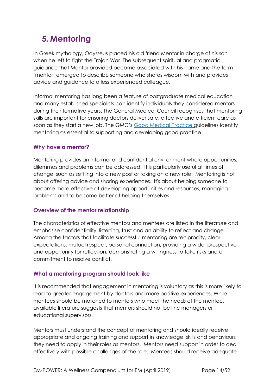## <span id="page-13-0"></span>**5. Mentoring**

In Greek mythology, Odysseus placed his old friend Mentor in charge of his son when he left to fight the Trojan War. The subsequent spiritual and pragmatic guidance that Mentor provided became associated with his name and the term 'mentor' emerged to describe someone who shares wisdom with and provides advice and guidance to a less experienced colleague.

Informal mentoring has long been a feature of postgraduate medical education and many established specialists can identify individuals they considered mentors during their formative years. The General Medical Council recognises that mentoring skills are important for ensuring doctors deliver safe, effective and efficient care as soon as they start a new job. The GMC's [Good Medical Practice](https://www.gmc-uk.org/-/media/documents/good-medical-practice---english-1215_pdf-51527435.pdf) guidelines identify mentoring as essential to supporting and developing good practice.

## **Why have a mentor?**

Mentoring provides an informal and confidential environment where opportunities, dilemmas and problems can be addressed. It is particularly useful at times of change, such as settling into a new post or taking on a new role. Mentoring is not about offering advice and sharing experiences. It's about helping someone to become more effective at developing opportunities and resources, managing problems and to become better at helping themselves.

## **Overview of the mentor relationship**

The characteristics of effective mentors and mentees are listed in the literature and emphasise confidentiality, listening, trust and an ability to reflect and change. Among the factors that facilitate successful mentoring are reciprocity, clear expectations, mutual respect, personal connection, providing a wider prospective and opportunity for reflection, demonstrating a willingness to take risks and a commitment to resolve conflict.

## **What a mentoring program should look like**

It is recommended that engagement in mentoring is voluntary as this is more likely to lead to greater engagement by doctors and more positive experiences. While mentees should be matched to mentors who meet the needs of the mentee, available literature suggests that mentors should not be line managers or educational supervisors.

Mentors must understand the concept of mentoring and should ideally receive appropriate and ongoing training and support in knowledge, skills and behaviours they need to apply in their roles as mentors. Mentors need support in order to deal effectively with possible challenges of the role. Mentees should receive adequate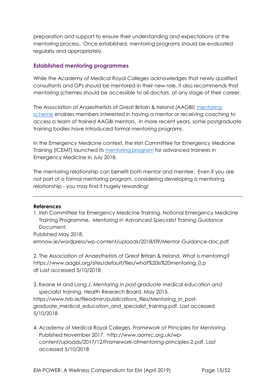preparation and support to ensure their understanding and expectations of the mentoring process. Once established, mentoring programs should be evaluated regularly and appropriately.

## **Established mentoring programmes**

While the Academy of Medical Royal Colleges acknowledges that newly qualified consultants and GPs should be mentored in their new role, it also recommends that mentoring schemes should be accessible to all doctors, at any stage of their career.

The Association of Anaesthetists of Great Britain & Ireland (AAGBI) [mentoring](https://www.aagbi.org/professionals/welfare/mentoring/aagbi-mentoring-scheme) [scheme](https://www.aagbi.org/professionals/welfare/mentoring/aagbi-mentoring-scheme) enables members interested in having a mentor or receiving coaching to access a team of trained AAGBI mentors. In more recent years, some postgraduate training bodies have introduced formal mentoring programs.

In the Emergency Medicine context, the Irish Committee for Emergency Medicine Training (ICEMT) launched its [mentoring program](http://emnow.ie/wordpress/wp-content/uploads/2018/09/Mentor-Guidance-doc.pdf) for advanced trainees in Emergency Medicine in July 2018.

The mentoring relationship can benefit both mentor and mentee. Even if you are not part of a formal mentoring program, considering developing a mentoring relationship - you may find it hugely rewarding!

#### **References**

1. Irish Committee for Emergency Medicine Training, National Emergency Medicine Training Programme. *Mentoring in Advanced Specialist Training Guidance Document*.

Published May 2018. emnow.ie/wordpress/wp-content/uploads/2018/09/Mentor-Guidance-doc.pdf

2. The Association of Anaesthetists of Great Britain & Ireland. *What is mentoring?* https://www.aagbi.org/sites/default/files/what%20is%20mentoring\_0.p df Last accessed 5/10/2018

3. Keane M and Long J. *Mentoring in post-graduate medical education and specialist training.* Health Research Board. May 2015.

https://www.hrb.ie/fileadmin/publications\_files/Mentoring\_in\_postgraduate\_medical\_education\_and\_specialist\_training.pdf. Last accessed 5/10/2018

4. Academy of Medical Royal Colleges. *Framework of Principles for Mentoring*. Published November 2017. http://www.aomrc.org.uk/wpcontent/uploads/2017/12/Framework-ofmentoring-principles-2.pdf. Last accessed 5/10/2018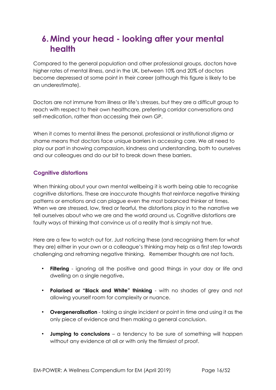## <span id="page-15-0"></span>**6. Mind your head - looking after your mental health**

Compared to the general population and other professional groups, doctors have higher rates of mental illness, and in the UK, between 10% and 20% of doctors become depressed at some point in their career (although this figure is likely to be an underestimate).

Doctors are not immune from illness or life's stresses, but they are a difficult group to reach with respect to their own healthcare, preferring corridor conversations and self-medication, rather than accessing their own GP.

When it comes to mental illness the personal, professional or institutional stigma or shame means that doctors face unique barriers in accessing care. We all need to play our part in showing compassion, kindness and understanding, both to ourselves and our colleagues and do our bit to break down these barriers.

## **Cognitive distortions**

When thinking about your own mental wellbeing it is worth being able to recognise cognitive distortions. These are inaccurate thoughts that reinforce negative thinking patterns or emotions and can plague even the most balanced thinker at times. When we are stressed, low, tired or fearful, the distortions play in to the narrative we tell ourselves about who we are and the world around us. Cognitive distortions are faulty ways of thinking that convince us of a reality that is simply not true.

Here are a few to watch out for. Just noticing these (and recognising them for what they are) either in your own or a colleague's thinking may help as a first step towards challenging and reframing negative thinking. Remember thoughts are not facts.

- **Filtering**  ignoring all the positive and good things in your day or life and dwelling on a single negative**.**
- **Polarised or "Black and White" thinking**  with no shades of grey and not allowing yourself room for complexity or nuance.
- **Overgeneralisation**  taking a single incident or point in time and using it as the only piece of evidence and then making a general conclusion.
- **Jumping to conclusions**  a tendency to be sure of something will happen without any evidence at all or with only the flimsiest of proof.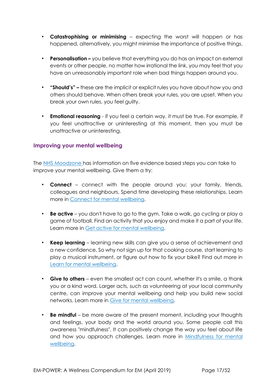- **Catastrophising or minimising**  expecting the worst will happen or has happened, alternatively, you might minimise the importance of positive things.
- **Personalisation –** you believe that everything you do has an impact on external events or other people, no matter how irrational the link, you may feel that you have an unreasonably important role when bad things happen around you.
- **"Should's" –** these are the implicit or explicit rules you have about how you and others should behave. When others break your rules, you are upset. When you break your own rules, you feel guilty.
- **Emotional reasoning**  if you feel a certain way, it must be true. For example, if you feel unattractive or uninteresting at this moment, then you must be unattractive or uninteresting.

## **Improving your mental wellbeing**

The NHS [Moodzone](https://www.nhs.uk/conditions/stress-anxiety-depression/improve-mental-wellbeing/) [h](https://www.nhs.uk/conditions/stress-anxiety-depression/improve-mental-wellbeing/)as information on five evidence based steps you can take to improve your mental wellbeing. Give them a try:

- **Connect** connect with the people around you: your family, friends, colleagues and neighbours. Spend time developing these relationships. Learn more in [Connect for mental wellbeing.](https://www.nhs.uk/conditions/stress-anxiety-depression/connect-for-mental-wellbeing/)
- **Be active** you don't have to go to the gym. Take a walk, go cycling or play a game of football. Find an activity that you enjoy and make it a part of your life. Learn more in [Get active for mental wellbeing.](https://www.nhs.uk/conditions/stress-anxiety-depression/mental-benefits-of-exercise/)
- **Keep learning** learning new skills can give you a sense of achievement and a new confidence. So why not sign up for that cooking course, start learning to play a musical instrument, or figure out how to fix your bike? Find out more i[n](https://www.nhs.uk/conditions/stress-anxiety-depression/learn-for-mental-wellbeing/) [Learn for mental wellbeing.](https://www.nhs.uk/conditions/stress-anxiety-depression/learn-for-mental-wellbeing/)
- **Give to others** even the smallest act can count, whether it's a smile, a thank you or a kind word. Larger acts, such as volunteering at your local community centre, can improve your mental wellbeing and help you build new social networks. Learn more in [Give for mental wellbeing.](https://www.nhs.uk/conditions/stress-anxiety-depression/give-for-mental-wellbeing/)
- **Be mindful** be more aware of the present moment, including your thoughts and feelings, your body and the world around you. Some people call this awareness "mindfulness". It can positively change the way you feel about life a[n](https://www.nhs.uk/conditions/stress-anxiety-depression/mindfulness/)d how you approach challenges. Learn more in Mindfulness for mental [wellbeing.](https://www.nhs.uk/conditions/stress-anxiety-depression/mindfulness/)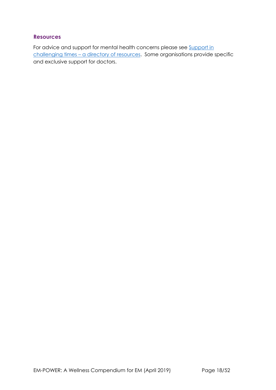## **Resources**

For advice and support for mental health concerns please see Support in [challenging times](#page-36-0) - a directory of resources. Some organisations provide specific and exclusive support for doctors.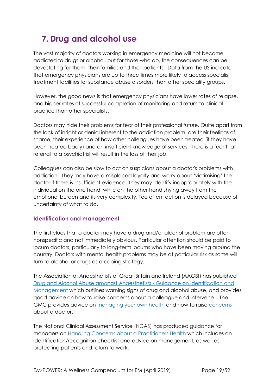## <span id="page-18-0"></span>**7. Drug and alcohol use**

The vast majority of doctors working in emergency medicine will not become addicted to drugs or alcohol, but for those who do, the consequences can be devastating for them, their families and their patients. Data from the US indicate that emergency physicians are up to three times more likely to access specialist treatment facilities for substance abuse disorders than other speciality groups.

However, the good news is that emergency physicians have lower rates of relapse, and higher rates of successful completion of monitoring and return to clinical practice than other specialists.

Doctors may hide their problems for fear of their professional future. Quite apart from the lack of insight or denial inherent to the addiction problem, are their feelings of shame, their experience of how other colleagues have been treated (if they have been treated badly) and an insufficient knowledge of services. There is a fear that referral to a psychiatrist will result in the loss of their job.

Colleagues can also be slow to act on suspicions about a doctor's problems with addiction. They may have a misplaced loyalty and worry about 'victimising' the doctor if there is insufficient evidence. They may identify inappropriately with the individual on the one hand, while on the other hand shying away from the emotional burden and its very complexity. Too often, action is delayed because of uncertainty of what to do.

## **Identification and management**

The first clues that a doctor may have a drug and/or alcohol problem are often nonspecific and not immediately obvious. Particular attention should be paid to locum doctors, particularly to long-term locums who have been moving around the country. Doctors with mental health problems may be at particular risk as some will turn to alcohol or drugs as a coping strategy.

The Association of Anaesthetists of Great Britain and Ireland (AAGBI) has published [Drug and Alcohol Abuse amongst Anaesthetists -](https://www.aagbi.org/sites/default/files/drug_and_alcohol_abuse_2011.pdf) [Guidance on Identification and](https://www.aagbi.org/sites/default/files/drug_and_alcohol_abuse_2011.pdf) [Management](https://www.aagbi.org/sites/default/files/drug_and_alcohol_abuse_2011.pdf) [w](https://www.aagbi.org/sites/default/files/drug_and_alcohol_abuse_2011.pdf)hich outlines warning signs of drug and alcohol abuse, and provides good advice on how to raise concerns about a colleague and intervene. The GMC provides advice on [managing your own health](https://www.gmc-uk.org/concerns/information-for-doctors-under-investigation/support-for-doctors/managing-your-health/managing-your-health-condition) and how to raise [concerns](https://www.gmc-uk.org/concerns) about a doctor.

The National Clinical Assessment Service (NCAS) has produced guidance for managers o[n](https://www.ncas.nhs.uk/EasySiteWeb/GatewayLink.aspx?alId=94728) [Handling Concerns about a Practitioners Health](https://www.ncas.nhs.uk/EasySiteWeb/GatewayLink.aspx?alId=94728) which includes an identification/recognition checklist and advice on management, as well as protecting patients and return to work.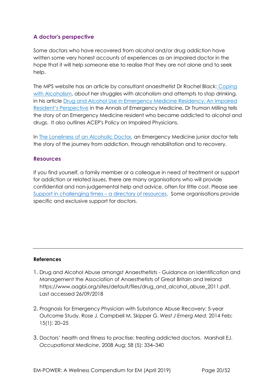## **A doctor's perspective**

Some doctors who have recovered from alcohol and/or drug addiction have written some very honest accounts of experiences as an impaired doctor in the hope that it will help someone else to realise that they are not alone and to seek help.

The MPS website has an article by consultant anaesthetist Dr Rachel Black[:](https://www.medicalprotection.org/uk/articles/coping-with-alcoholism) [Coping](https://www.medicalprotection.org/uk/articles/coping-with-alcoholism) [with Alcoholism,](https://www.medicalprotection.org/uk/articles/coping-with-alcoholism) about her struggles with alcoholism and attempts to stop drinking. in his article [Drug and Alcohol Use in Emergency Medicine Residency: An Impaired](https://www.annemergmed.com/article/S0196-0644(05)00341-0/pdf?code=ymem-site) [Resident's P](https://www.annemergmed.com/article/S0196-0644(05)00341-0/pdf?code=ymem-site)[erspective](https://www.annemergmed.com/article/S0196-0644(05)00341-0/pdf?code=ymem-site) [i](https://www.annemergmed.com/article/S0196-0644(05)00341-0/pdf?code=ymem-site)n the Annals of Emergency Medicine, Dr Truman Milling tells the story of an Emergency Medicine resident who became addicted to alcohol and drugs. It also outlines ACEP's Policy on Impaired Physicians.

In [The Loneliness of an Alcoholic Doctor](https://alcoholselfhelpnews.wordpress.com/2007/09/30/the-loneliness-of-an-alcoholic-doctor/)*[,](https://alcoholselfhelpnews.wordpress.com/2007/09/30/the-loneliness-of-an-alcoholic-doctor/)* an Emergency Medicine junior doctor tells the story of the journey from addiction, through rehabilitation and to recovery.

## **Resources**

If you find yourself, a family member or a colleague in need of treatment or support for addiction or related issues, there are many organisations who will provide confidential and non-judgemental help and advice, often for little cost. Please see [Support in challenging times](#page-36-0) – a directory of resources. Some organisations provide specific and exclusive support for doctors.

#### **References**

- 1. Drug and Alcohol Abuse amongst Anaesthetists Guidance on Identification and Management the Association of Anaesthetists of Great Britain and Ireland https://www.aagbi.org/sites/default/files/drug\_and\_alcohol\_abuse\_2011.pdf. Last accessed 26/09/2018
- 2. Prognosis for Emergency Physician with Substance Abuse Recovery: 5-year Outcome Study. Rose J, Campbell M, Skipper G. *West J Emerg Med.* 2014 Feb; 15(1): 20–25
- 3. Doctors' health and fitness to practise: treating addicted doctors. Marshall EJ. *Occupational Medicine*, 2008 Aug; 58 (5): 334–340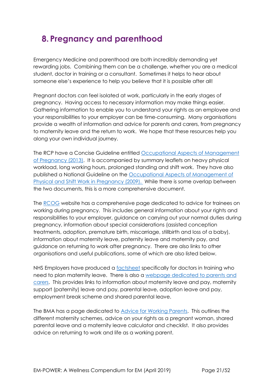## <span id="page-20-0"></span>**8. Pregnancy and parenthood**

Emergency Medicine and parenthood are both incredibly demanding yet rewarding jobs. Combining them can be a challenge, whether you are a medical student, doctor in training or a consultant. Sometimes it helps to hear about someone else's experience to help you believe that it is possible after all!

Pregnant doctors can feel isolated at work, particularly in the early stages of pregnancy. Having access to necessary information may make things easier. Gathering information to enable you to understand your rights as an employee and your responsibilities to your employer can be time-consuming. Many organisations provide a wealth of information and advice for parents and carers, from pregnancy to maternity leave and the return to work. We hope that these resources help you along your own individual journey.

The RCP have a Concise Guideline entitled [Occupational Aspects of Management](https://www.rcplondon.ac.uk/guidelines-policy/pregnancy-occupational-aspects-management)  [of Pregnancy \(2013\).](https://www.rcplondon.ac.uk/guidelines-policy/pregnancy-occupational-aspects-management) It is accompanied by summary leaflets on heavy physical workload, long working hours, prolonged standing and shift work. They have also published a National Guideline on the [Occupational Aspects of Management of](https://www.rcplondon.ac.uk/guidelines-policy/physical-and-shift-work-pregnancy-occupational-aspects-management-2009)  [Physical and Shift Work in Pregnancy \(2009\).](https://www.rcplondon.ac.uk/guidelines-policy/physical-and-shift-work-pregnancy-occupational-aspects-management-2009) While there is some overlap between the two documents, this is a more comprehensive document.

The [RCOG](https://www.rcog.org.uk/en/careers-training/resources--support-for-trainees/advice-and-support-for-trainees/working-during-pregnancy-advice-for-trainees/) website has a comprehensive page dedicated to advice for trainees on working during pregnancy. This includes general information about your rights and responsibilities to your employer, guidance on carrying out your normal duties during pregnancy, information about special considerations (assisted conception treatments, adoption, premature birth, miscarriage, stillbirth and loss of a baby), information about maternity leave, paternity leave and maternity pay, and guidance on returning to work after pregnancy. There are also links to other organisations and useful publications, some of which are also listed below.

NHS Employers have produced a [factsheet](http://www.nhsemployers.org/-/media/Employers/Documents/SiteCollectionDocuments/Maternity-Factsheet.pdf?la=en&hash=AD0AF4E4DEF215EEFF471EE5278630AE1D37C063) specifically for doctors in training who need to plan maternity leave. There is also a [webpage dedicated to parents and](http://www.nhsemployers.org/your-workforce/pay-and-reward/agenda-for-change/nhs-terms-and-conditions-of-service-handbook/parents-and-carers)  [carers.](http://www.nhsemployers.org/your-workforce/pay-and-reward/agenda-for-change/nhs-terms-and-conditions-of-service-handbook/parents-and-carers) This provides links to information about maternity leave and pay, maternity support (paternity) leave and pay, parental leave, adoption leave and pay, employment break scheme and shared parental leave.

The BMA has a page dedicated to **Advice for Working Parents**. This outlines the different maternity schemes, advice on your rights as a pregnant woman, shared parental leave and a maternity leave calculator and checklist. It also provides advice on returning to work and life as a working parent.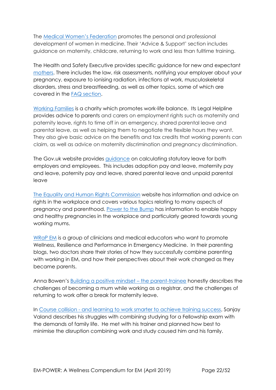The [Medical Women's Federation](http://www.medicalwomensfederation.org.uk/) promotes the personal and professional development of women in medicine. Their 'Advice & Support' section includes guidance on maternity, childcare, returning to work and less than fulltime training.

The Health and Safety Executive provides specific guidance for new and expectant [mothers.](http://www.hse.gov.uk/mothers/) There includes the law, risk assessments, notifying your employer about your pregnancy, exposure to ionising radiation, infections at work, musculoskeletal disorders, stress and breastfeeding, as well as other topics, some of which are covered in the [FAQ section.](http://www.hse.gov.uk/mothers/faqs.htm#q23)

[Working Families](https://www.workingfamilies.org.uk/) is a charity which promotes work-life balance. Its Legal Helpline provides advice to parents and carers on employment rights such as maternity and paternity leave, rights to time off in an emergency, shared parental leave and parental leave, as well as helping them to negotiate the flexible hours they want. They also give basic advice on the benefits and tax credits that working parents can claim, as well as advice on maternity discrimination and pregnancy discrimination.

The Gov.uk website provides [guidance](https://www.gov.uk/browse/employing-people/time-off) on calculating statutory leave for both employers and employees. This includes adoption pay and leave, maternity pay and leave, paternity pay and leave, shared parental leave and unpaid parental leave

[The Equality and Human Rights Commission](https://www.equalityhumanrights.com/en) website has information and advice on rights in the workplace and covers various topics relating to many aspects of pregnancy and parenthood. [Power to the Bump](https://www.equalityhumanrights.com/en/power-bump) has information to enable happy and healthy pregnancies in the workplace and particularly geared towards young working mums.

[WRaP EM](https://wrapem.org/) is a group of clinicians and medical educators who want to promote Wellness, Resilience and Performance in Emergency Medicine. In their parenting blogs, two doctors share their stories of how they successfully combine parenting with working in EM, and how their perspectives about their work changed as they became parents.

Anna Bowen's [Building a positive mindset](https://wrapem.org/2018/06/11/parenting-part-1/) – the parent-trainee honestly describes the challenges of becoming a mum while working as a registrar, and the challenges of returning to work after a break for maternity leave.

In Course collision - [and learning to work smarter to achieve training success,](https://wrapem.org/2018/06/11/parenting-part-2/) Sanjay Valand describes his struggles with combining studying for a Fellowship exam with the demands of family life. He met with his trainer and planned how best to minimise the disruption combining work and study caused him and his family.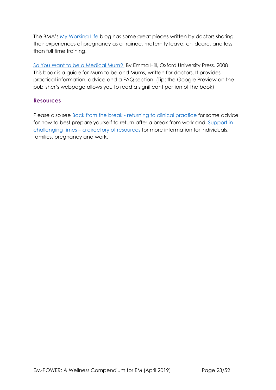The BMA's [My Working Life](https://www.bma.org.uk/connecting-doctors/tags/pregnancy) blog has some great pieces written by doctors sharing their experiences of pregnancy as a trainee, maternity leave, childcare, and less than full time training.

[So You Want to be a Medical Mum?](https://global.oup.com/academic/product/so-you-want-to-be-a-medical-mum-9780199237586?cc=us&lang=en&) By Emma Hill, Oxford University Press. 2008 This book is a guide for Mum to be and Mums, written for doctors. It provides practical information, advice and a FAQ section. (Tip: the Google Preview on the publisher's webpage allows you to read a significant portion of the book)

### **Resources**

Please also see Back from the break - [returning to clinical practice](#page-30-0) for some advice for how to best prepare yourself to return after a break from work and [Support in](#page-36-0)  challenging times – [a directory of resources](#page-36-0) for more information for individuals, families, pregnancy and work.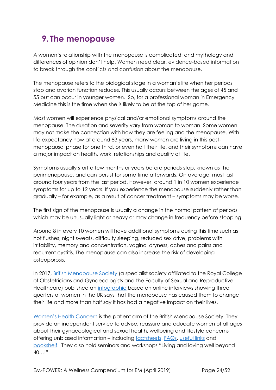## <span id="page-23-0"></span>**9. The menopause**

A women's relationship with the menopause is complicated; and mythology and differences of opinion don't help. Women need clear, evidence-based information to break through the conflicts and confusion about the menopause.

The menopause refers to the biological stage in a woman's life when her periods stop and ovarian function reduces. This usually occurs between the ages of 45 and 55 but can occur in younger women. So, for a professional woman in Emergency Medicine this is the time when she is likely to be at the top of her game.

Most women will experience physical and/or emotional symptoms around the menopause. The duration and severity vary from woman to woman. Some women may not make the connection with how they are feeling and the menopause. With life expectancy now at around 83 years, many women are living in this postmenopausal phase for one third, or even half their life, and their symptoms can have a major impact on health, work, relationships and quality of life.

Symptoms usually start a few months or years before periods stop, known as the perimenopause, and can persist for some time afterwards. On average, most last around four years from the last period. However, around 1 in 10 women experience symptoms for up to 12 years. If you experience the menopause suddenly rather than gradually – for example, as a result of cancer treatment – symptoms may be worse.

The first sign of the menopause is usually a change in the normal pattern of periods which may be unusually light or heavy or may change in frequency before stopping.

Around 8 in every 10 women will have additional symptoms during this time such as hot flushes, night sweats, difficulty sleeping, reduced sex drive, problems with irritability, memory and concentration, vaginal dryness, aches and pains and recurrent cystitis. The menopause can also increase the risk of developing osteoporosis.

In 2017, [British Menopause Society](https://thebms.org.uk/) (a specialist society affiliated to the Royal College of Obstetricians and Gynaecologists and the Faculty of Sexual and Reproductive Healthcare) published an [infographic](https://thebms.org.uk/_wprs/wp-content/uploads/2016/04/BMS-Infographic-10-October2017-01C.pdf) based on online interviews showing three quarters of women in the UK says that the menopause has caused them to change their life and more than half say it has had a negative impact on their lives.

[Women's Health Concern](https://www.womens-health-concern.org/) is the patient arm of the British Menopause Society. They provide an independent service to advise, reassure and educate women of all ages about their gynaecological and sexual health, wellbeing and lifestyle concerns offering unbiased information – including [factsheets,](https://www.womens-health-concern.org/help-and-advice/factsheets/) [FAQs,](https://www.womens-health-concern.org/help-and-advice/faqs/) [useful links](https://www.womens-health-concern.org/help-and-advice/useful-links/) and [bookshelf](https://www.womens-health-concern.org/help-and-advice/whc-bookshelf/). They also hold seminars and workshops "Living and loving well beyond 40…!"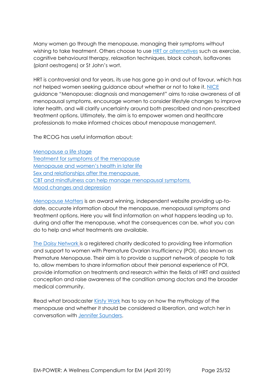Many women go through the menopause, managing their symptoms without wishing to take treatment. Others choose to use **HRT** or alternatives such as exercise, cognitive behavioural therapy, relaxation techniques, black cohosh, isoflavones (plant oestrogens) or St John's wort.

HRT is controversial and for years, its use has gone go in and out of favour, which has not helped women seeking guidance about whether or not to take it. [NICE](https://www.nice.org.uk/guidance/NG23) guidance "Menopause: diagnosis and management" aims to raise awareness of all menopausal symptoms, encourage women to consider lifestyle changes to improve later health, and will clarify uncertainty around both prescribed and non-prescribed treatment options. Ultimately, the aim is to empower women and healthcare professionals to make informed choices about menopause management.

The RCOG has useful information about:

[Menopause a life stage](mailto:https://www.rcog.org.uk/en/patients/menopause/menopause---a-life-stage/) [Treatment for symptoms of the](https://www.rcog.org.uk/en/patients/patient-leaflets/treatment-symptoms-menopause/?_t_id=1B2M2Y8AsgTpgAmY7PhCfg%3d%3d&_t_q=menopause&_t_tags=language%3aen%2csiteid%3a39338ee9-cb61-4e10-a686-8f4a5e1b76d7&_t_ip=109.154.90.28&_t_hit.id=EPiServer_Templates_RCOG_Models_Pages_PatientGuidelinesDetailsType/_8104692e-2b5f-4aa7-8c4c-e63f228480af_en&_t_hit.pos=10) menopause Menopause [and women's hea](https://www.rcog.org.uk/en/patients/menopause/?_t_id=1B2M2Y8AsgTpgAmY7PhCfg%3d%3d&_t_q=menopause&_t_tags=language%3aen%2csiteid%3a39338ee9-cb61-4e10-a686-8f4a5e1b76d7&_t_ip=109.154.90.28&_t_hit.id=EPiServer_Templates_RCOG_Models_Pages_ContentPageWithRHColumnType/_97bd9bdd-d6ad-400d-9d51-bf153115a96b_en&_t_hit.pos=18)lth in later life [Sex and relationships after the](https://www.rcog.org.uk/en/patients/menopause/sex-and-relationships-after-the-menopause/?_t_id=1B2M2Y8AsgTpgAmY7PhCfg%3d%3d&_t_q=menopause&_t_tags=language%3aen%2csiteid%3a39338ee9-cb61-4e10-a686-8f4a5e1b76d7&_t_ip=109.154.90.28&_t_hit.id=EPiServer_Templates_RCOG_Models_Pages_ContentPageWithNavigationType/_3360190a-71cf-4d3a-a476-a03bbe876631_en&_t_hit.pos=16) menopause [CBT and mindfulness can help manage](https://www.rcog.org.uk/en/news/cognitive-behavioural-therapy-and-mindfulness-can-help-manage-menopausal-symptoms/?_t_id=1B2M2Y8AsgTpgAmY7PhCfg%3d%3d&_t_q=menopause&_t_tags=language%3aen%2csiteid%3a39338ee9-cb61-4e10-a686-8f4a5e1b76d7&_t_ip=109.154.90.28&_t_hit.id=EPiServer_Templates_RCOG_Models_Pages_NewsArticleType/_bf3a8979-b466-4841-a882-d396418da1bb_en&_t_hit.pos=30) menopausal symptoms [Mood changes and depression](https://www.rcog.org.uk/en/patients/menopause/mood-changes-and-depression/?_t_id=1B2M2Y8AsgTpgAmY7PhCfg%3d%3d&_t_q=menopause&_t_tags=language%3aen%2csiteid%3a39338ee9-cb61-4e10-a686-8f4a5e1b76d7&_t_ip=109.154.90.28&_t_hit.id=EPiServer_Templates_RCOG_Models_Pages_ContentPageWithNavigationType/_8cd17622-72ad-4ef7-9504-931b09a9c9fd_en&_t_hit.pos=39)

[Menopause Matters](http://www.menopausematters.co.uk/) is an award winning, independent website providing up-todate, accurate information about the menopause, menopausal symptoms and treatment options. Here you will find information on what happens leading up to, during and after the menopause, what the consequences can be, what you can do to help and what treatments are available.

[The Daisy Network](http://www.daisynetwork.org.uk/) is a registered charity dedicated to providing free information and support to women with Premature Ovarian Insufficiency (POI), also known as Premature Menopause. Their aim is to provide a support network of people to talk to, allow members to share information about their personal experience of POI, provide information on treatments and research within the fields of HRT and assisted conception and raise awareness of the condition among doctors and the broader medical community.

Read what broadcaster [Kirsty](https://www.telegraph.co.uk/health-fitness/body/kirsty-wark-menopause-liberation/) Wark has to say on how the mythology of the menopause and whether it should be considered a liberation, and watch her in conversation with [Jennifer Saunders.](https://www.bbc.co.uk/programmes/p04przks)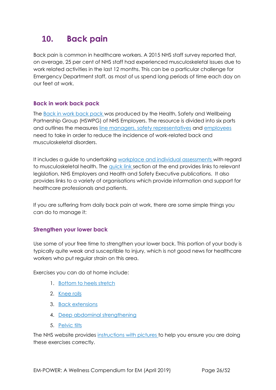## <span id="page-25-0"></span>**10. Back pain**

Back pain is common in healthcare workers. A 2015 NHS staff survey reported that, on average, 25 per cent of NHS staff had experienced musculoskeletal issues due to work related activities in the last 12 months. This can be a particular challenge for Emergency Department staff, as most of us spend long periods of time each day on our feet at work.

## **Back in work back pack**

The [Back in work back pack](https://www.nhsemployers.org/case-studies-and-resources/2015/10/back-in-work-back-pack) was produced by the Health, Safety and Wellbeing Partnership Group (HSWPG) of NHS Employers. The resource is divided into six parts and outlines the measures [line managers,](https://www.nhsemployers.org/-/media/Employers/Documents/Retain-and-improve/Back-in-Work/Back-in-work-part-3-The-line-managers-guide-web-final-25-March.pdf?la=en&hash=A9974925DCFE175F17BEBDB30387BFB6F45F06AD) [safety representatives](https://www.nhsemployers.org/-/media/Employers/Documents/Retain-and-improve/Back-in-Work/Back-in-work-part-4-The-safety-representatives-guide-web-final-25-March.pdf?la=en&hash=4E7660F62AE6C08661B859824291F882060925D1) and [employees](https://www.nhsemployers.org/-/media/Employers/Documents/Retain-and-improve/Back-in-Work/Back-in-work-part-2-The-staff-guide-web-final-25-March.pdf?la=en&hash=F1D67100401D980A3F3CA9A439E12A7FBD2D9E23) need to take in order to reduce the incidence of work-related back and musculoskeletal disorders.

It includes a guide to undertaking [workplace and individual assessments](https://www.nhsemployers.org/-/media/Employers/Documents/Retain-and-improve/Back-in-Work/Back-in-work-part-5-Workplace-and-individual-assessment-tool-web-final-25-March.pdf?la=en&hash=0867A82548FE14B78AA3F0F5417125B8599E6865) with regard to musculoskeletal health. The [quick link](https://www.nhsemployers.org/-/media/Employers/Documents/Retain-and-improve/Back-in-Work/Back-in-work-part-6-Further-information-and-quick-links-web-final-25-March.pdf?la=en&hash=E89DC2AFAB224E5954BC9C1FF67446F5ABC77D10) [se](https://www.nhsemployers.org/-/media/Employers/Documents/Retain-and-improve/Back-in-Work/Back-in-work-part-6-Further-information-and-quick-links-web-final-25-March.pdf?la=en&hash=E89DC2AFAB224E5954BC9C1FF67446F5ABC77D10)ction at the end provides links to relevant legislation, NHS Employers and Health and Safety Executive publications. It also provides links to a variety of organisations which provide information and support for healthcare professionals and patients.

If you are suffering from daily back pain at work, there are some simple things you can do to manage it:

## **Strengthen your lower back**

Use some of your free time to strengthen your lower back. This portion of your body is typically quite weak and susceptible to injury, which is not good news for healthcare workers who put regular strain on this area.

Exercises you can do at home include:

- 1. [Bottom to heels stretch](https://www.nhs.uk/live-well/exercise/lower-back-pain-exercises/#bottom-to-heels-stretch)
- 2. [Knee rolls](https://www.nhs.uk/live-well/exercise/lower-back-pain-exercises/#knee-rolls)
- 3. [Back extensions](https://www.nhs.uk/live-well/exercise/lower-back-pain-exercises/#back-extensions)
- 4. [Deep abdominal strengthening](https://www.nhs.uk/live-well/exercise/lower-back-pain-exercises/#deep-abdominal-strengthening)
- 5. [Pelvic tilts](https://www.nhs.uk/live-well/exercise/lower-back-pain-exercises/#pelvic-tilts)

The NHS website provides [instructions with pictures](https://www.nhs.uk/live-well/exercise/lower-back-pain-exercises) to help you ensure you are doing these exercises correctly.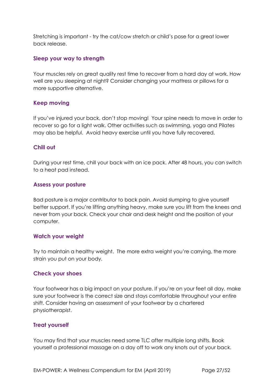Stretching is important - try the cat/cow stretch or child's pose for a great lower back release.

### **Sleep your way to strength**

Your muscles rely on great quality rest time to recover from a hard day at work. How well are you sleeping at night? Consider changing your mattress or pillows for a more supportive alternative.

## **Keep moving**

If you've injured your back, don't stop moving! Your spine needs to move in order to recover so go for a light walk. Other activities such as swimming, yoga and Pilates may also be helpful. Avoid heavy exercise until you have fully recovered.

## **Chill out**

During your rest time, chill your back with an ice pack. After 48 hours, you can switch to a heat pad instead.

### **Assess your posture**

Bad posture is a major contributor to back pain. Avoid slumping to give yourself better support. If you're lifting anything heavy, make sure you lift from the knees and never from your back. Check your chair and desk height and the position of your computer.

#### **Watch your weight**

Try to maintain a healthy weight. The more extra weight you're carrying, the more strain you put on your body.

## **Check your shoes**

Your footwear has a big impact on your posture. If you're on your feet all day, make sure your footwear is the correct size and stays comfortable throughout your entire shift. Consider having an assessment of your footwear by a chartered physiotherapist.

## **Treat yourself**

You may find that your muscles need some TLC after multiple long shifts. Book yourself a professional massage on a day off to work any knots out of your back.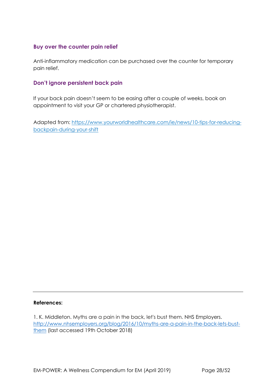## **Buy over the counter pain relief**

Anti-inflammatory medication can be purchased over the counter for temporary pain relief.

## **Don't ignore persistent back pain**

If your back pain doesn't seem to be easing after a couple of weeks, book an appointment to visit your GP or chartered physiotherapist.

Adapted from: [https://www.yourworldhealthcare.com/ie/news/10-tips-for-reducing](https://www.yourworldhealthcare.com/ie/news/10-tips-for-reducing-back-pain-during-your-shift)[backpain-during-your-shift](https://www.yourworldhealthcare.com/ie/news/10-tips-for-reducing-back-pain-during-your-shift)

#### **References:**

<sup>1.</sup> K. Middleton. Myths are a pain in the back, let's bust them. NHS Employers. [http://www.nhsemployers.org/blog/2016/10/myths-are-a-pain-in-the-back-lets-bust](http://www.nhsemployers.org/blog/2016/10/myths-are-a-pain-in-the-back-lets-bust-them)[them](http://www.nhsemployers.org/blog/2016/10/myths-are-a-pain-in-the-back-lets-bust-them) (last accessed 19th October 2018)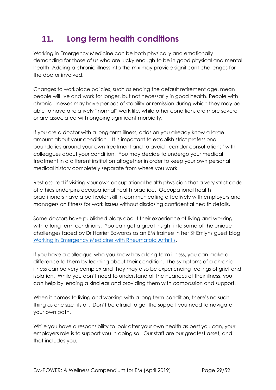## <span id="page-28-0"></span>**11. Long term health conditions**

Working in Emergency Medicine can be both physically and emotionally demanding for those of us who are lucky enough to be in good physical and mental health. Adding a chronic illness into the mix may provide significant challenges for the doctor involved.

Changes to workplace policies, such as ending the default retirement age, mean people will live and work for longer, but not necessarily in good health. People with chronic illnesses may have periods of stability or remission during which they may be able to have a relatively "normal" work life, while other conditions are more severe or are associated with ongoing significant morbidity.

If you are a doctor with a long-term illness, odds on you already know a large amount about your condition. It is important to establish strict professional boundaries around your own treatment and to avoid "corridor consultations" with colleagues about your condition. You may decide to undergo your medical treatment in a different institution altogether in order to keep your own personal medical history completely separate from where you work.

Rest assured if visiting your own occupational health physician that a very strict code of ethics underpins occupational health practice. Occupational health practitioners have a particular skill in communicating effectively with employers and managers on fitness for work issues without disclosing confidential health details.

Some doctors have published blogs about their experience of living and working with a long term conditions. You can get a great insight into some of the unique challenges faced by Dr Harriet Edwards as an EM trainee in her St Emlyns guest blog [Working in Emergency Medicine with Rheumatoid Arthritis.](https://www.rheumforimprovement.com/blog/2017/10/6/st-emlyns-working-in-emergency-medicine-with-rheumatoid-arthritis)

If you have a colleague who you know has a long term illness, you can make a difference to them by learning about their condition. The symptoms of a chronic illness can be very complex and they may also be experiencing feelings of grief and isolation. While you don't need to understand all the nuances of their illness, you can help by lending a kind ear and providing them with compassion and support.

When it comes to living and working with a long term condition, there's no such thing as one size fits all. Don't be afraid to get the support you need to navigate your own path.

While you have a responsibility to look after your own health as best you can, your employers role is to support you in doing so. Our staff are our greatest asset, and that includes you.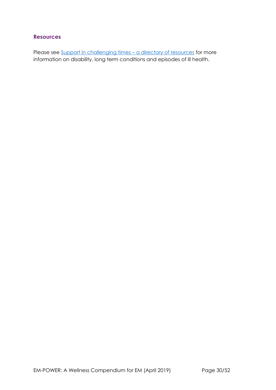## **Resources**

Please see [Support in challenging times](#page-36-0) - a directory of resources for more information on disability, long term conditions and episodes of ill health.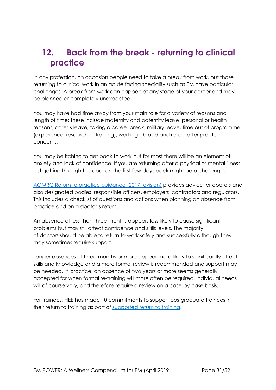## <span id="page-30-0"></span>**12. Back from the break - returning to clinical practice**

In any profession, on occasion people need to take a break from work, but those returning to clinical work in an acute facing speciality such as EM have particular challenges. A break from work can happen at any stage of your career and may be planned or completely unexpected.

You may have had time away from your main role for a variety of reasons and length of time; these include maternity and paternity leave, personal or health reasons, carer's leave, taking a career break, military leave, time out of programme (experience, research or training), working abroad and return after practise concerns.

You may be itching to get back to work but for most there will be an element of anxiety and lack of confidence. If you are returning after a physical or mental illness just getting through the door on the first few days back might be a challenge.

[AOMRC Return to practice guidance \(2017 revision\)](http://www.aomrc.org.uk/wp-content/uploads/2017/06/Return_to_Practice_guidance_2017_Revison_0617-2.pdf) provides advice for doctors and also designated bodies, responsible officers, employers, contractors and regulators. This includes a checklist of questions and actions when planning an absence from practice and on a doctor's return.

An absence of less than three months appears less likely to cause significant problems but may still affect confidence and skills levels. The majority of doctors should be able to return to work safely and successfully although they may sometimes require support.

Longer absences of three months or more appear more likely to significantly affect skills and knowledge and a more formal review is recommended and support may be needed. In practice, an absence of two years or more seems generally accepted for when formal re-training will more often be required. Individual needs will of course vary, and therefore require a review on a case-by-case basis.

For trainees, HEE has made 10 commitments to support postgraduate trainees in their return to training as part of [supported return to training.](https://www.hee.nhs.uk/sites/default/files/documents/Supported%20Return%20to%20Training.pdf)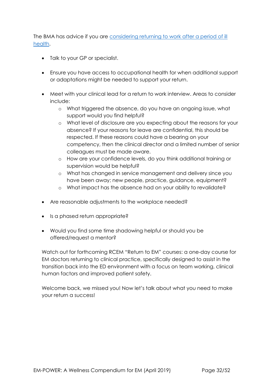The BMA has advice if you are considering returning to work after a period of ill [health.](https://www.bma.org.uk/advice/career/applying-for-a-job/returning-to-clinical-practice-after-absence/preparing-for-a-return-to-work)

- Talk to your GP or specialist.
- Ensure you have access to occupational health for when additional support or adaptations might be needed to support your return.
- Meet with your clinical lead for a return to work interview. Areas to consider include:
	- o What triggered the absence, do you have an ongoing issue, what support would you find helpful?
	- o What level of disclosure are you expecting about the reasons for your absence? If your reasons for leave are confidential, this should be respected. If these reasons could have a bearing on your competency, then the clinical director and a limited number of senior colleagues must be made aware.
	- o How are your confidence levels, do you think additional training or supervision would be helpful?
	- o What has changed in service management and delivery since you have been away; new people, practice, guidance, equipment?
	- o What impact has the absence had on your ability to revalidate?
- Are reasonable adjustments to the workplace needed?
- Is a phased return appropriate?
- Would you find some time shadowing helpful or should you be offered/request a mentor?

Watch out for forthcoming RCEM "Return to EM" courses: a one-day course for EM doctors returning to clinical practice, specifically designed to assist in the transition back into the ED environment with a focus on team working, clinical human factors and improved patient safety.

Welcome back, we missed you! Now let's talk about what you need to make your return a success!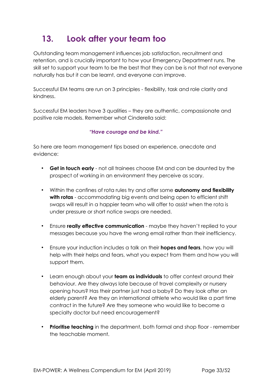## <span id="page-32-0"></span>**13. Look after your team too**

Outstanding team management influences job satisfaction, recruitment and retention, and is crucially important to how your Emergency Department runs. The skill set to support your team to be the best that they can be is not that not everyone naturally has but it can be learnt, and everyone can improve.

Successful EM teams are run on 3 principles - flexibility, task and role clarity and kindness.

Successful EM leaders have 3 qualities – they are authentic, compassionate and positive role models. Remember what Cinderella said:

### *"Have courage and be kind."*

So here are team management tips based on experience, anecdote and evidence:

- **Get in touch early** not all trainees choose EM and can be daunted by the prospect of working in an environment they perceive as scary.
- Within the confines of rota rules try and offer some **autonomy and flexibility**  with rotas - accommodating big events and being open to efficient shift swaps will result in a happier team who will offer to assist when the rota is under pressure or short notice swaps are needed.
- Ensure **really effective communication** maybe they haven't replied to your messages because you have the wrong email rather than their inefficiency.
- Ensure your induction includes a talk on their **hopes and fears**, how you will help with their helps and fears, what you expect from them and how you will support them.
- Learn enough about your **team as individuals** to offer context around their behaviour. Are they always late because of travel complexity or nursery opening hours? Has their partner just had a baby? Do they look after an elderly parent? Are they an international athlete who would like a part time contract in the future? Are they someone who would like to become a specialty doctor but need encouragement?
- **Prioritise teaching** in the department, both formal and shop floor remember the teachable moment.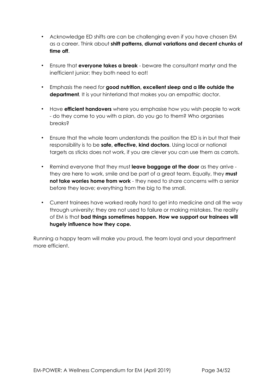- Acknowledge ED shifts are can be challenging even if you have chosen EM as a career. Think about **shift patterns, diurnal variations and decent chunks of time off**.
- Ensure that **everyone takes a break** beware the consultant martyr and the inefficient junior; they both need to eat!
- Emphasis the need *for* **good nutrition, excellent sleep and a life outside the department**. It is your hinterland that makes you an empathic doctor.
- Have **efficient handovers** where you emphasise how you wish people to work - do they come to you with a plan, do you go to them? Who organises breaks?
- Ensure that the whole team understands the position the ED is in but that their responsibility is to be **safe, effective, kind doctors**. Using local or national targets as sticks does not work, if you are clever you can use them as carrots.
- Remind everyone that they must **leave baggage at the door** as they arrive they are here to work, smile and be part of a great team. Equally, they **must not take worries home from work** - they need to share concerns with a senior before they leave; everything from the big to the small.
- Current trainees have worked really hard to get into medicine and all the way through university; they are not used to failure or making mistakes. The reality of EM is that **bad things sometimes happen. How we support our trainees will hugely influence how they cope***.*

Running a happy team will make you proud, the team loyal and your department more efficient.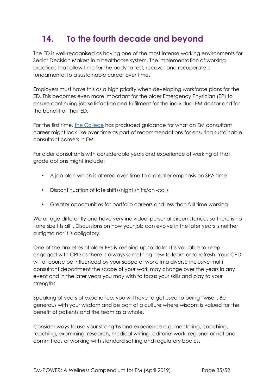## <span id="page-34-0"></span>**14. To the fourth decade and beyond**

The ED is well-recognised as having one of the most intense working environments for Senior Decision Makers in a healthcare system. The implementation of working practices that allow time for the body to rest, recover and recuperate is fundamental to a sustainable career over time.

Employers must have this as a high priority when developing workforce plans for the ED. This becomes even more important for the older Emergency Physician (EP) to ensure continuing job satisfaction and fulfilment for the individual EM doctor and for the benefit of their ED.

For the first time, [the College](mailto:https://www.rcem.ac.uk//docs/Workforce/RCEM_Consultant_Workforce_Document_(revised_Feb_2019).pdf) has produced guidance for what an EM consultant career might look like over time as part of recommendations for ensuring sustainable consultant careers in EM.

For older consultants with considerable years and experience of working at that grade options might include:

- A job plan which is altered over time to a greater emphasis on SPA time
- Discontinuation of late shifts/night shifts/on -calls
- Greater opportunities for portfolio careers and less than full time working

We all age differently and have very individual personal circumstances so there is no "one size fits all". Discussions on how your job can evolve in the later years is neither a stigma nor it is obligatory.

One of the anxieties of older EPs is keeping up to date. It is valuable to keep engaged with CPD as there is always something new to learn or to refresh. Your CPD will of course be influenced by your scope of work. In a diverse inclusive multi consultant department the scope of your work may change over the years in any event and in the later years you may wish to focus your skills and play to your strengths.

Speaking of years of experience, you will have to get used to being "wise". Be generous with your wisdom and be part of a culture where wisdom is valued for the benefit of patients and the team as a whole.

Consider ways to use your strengths and experience e.g. mentoring, coaching, teaching, examining, research, medical writing, editorial work, regional or national committees or working with standard setting and regulatory bodies.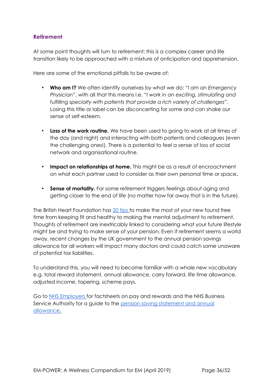## **Retirement**

At some point thoughts will turn to retirement; this is a complex career and life transition likely to be approached with a mixture of anticipation and apprehension.

Here are some of the emotional pitfalls to be aware of:

- **Who am I?** We often identify ourselves by what we do: *"I am an Emergency Physician"*, with all that this means i.e. *"I work in an exciting, stimulating and fulfilling specialty with patients that provide a rich variety of challenges".* Losing this title or label can be disconcerting for some and can shake our sense of self-esteem.
- **Loss of the work routine.** We have been used to going to work at all times of the day (and night) and interacting with both patients and colleagues (even the challenging ones!). There is a potential to feel a sense of loss of social network and organisational routine.
- **Impact on relationships at home.** This might be as a result of encroachment on what each partner used to consider as their own personal time or space**.**
- **Sense of mortality.** For some retirement triggers feelings about aging and getting closer to the end of life (no matter how far away that is in the future).

The British Heart Foundation has [20 tips](https://www.bhf.org.uk/informationsupport/heart-matters-magazine/wellbeing/retirement/retirement-tips) to make the most of your new found free time from keeping fit and healthy to making the mental adjustment to retirement. Thoughts of retirement are inextricably linked to considering what your future lifestyle might be and trying to make sense of your pension. Even if retirement seems a world away, recent changes by the UK government to the annual pension savings allowance for all workers will impact many doctors and could catch some unaware of potential tax liabilities.

To understand this, you will need to become familiar with a whole new vocabulary e.g. total reward statement, annual allowance, carry forward, life time allowance, adjusted income, tapering, scheme pays.

Go to [NHS Employers](https://www.nhsemployers.org/) for factsheets on pay and rewards and the NHS Business Service Authority for a guide to the [pension saving statement and annual](https://www.nhsbsa.nhs.uk/sites/default/files/2018-10/Pensions-Saving-Statement-Guide-V1-102018-book.pdf) [allowance.](https://www.nhsbsa.nhs.uk/sites/default/files/2018-10/Pensions-Saving-Statement-Guide-V1-102018-book.pdf)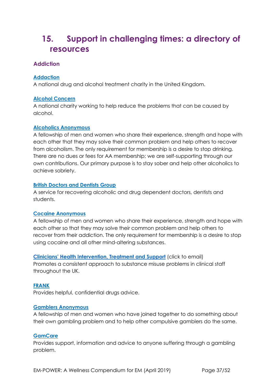## <span id="page-36-0"></span>**15. Support in challenging times: a directory of resources**

## <span id="page-36-1"></span>**Addiction**

### **[Addaction](http://www.addaction.org.uk/)**

A national drug and alcohol treatment charity in the United Kingdom.

#### **[Alcohol](http://www.alcoholconcern.org.uk/) [Concern](http://www.alcoholconcern.org.uk/)**

A national charity working to help reduce the problems that can be caused by alcohol.

#### **[Alcoholics](http://www.alcoholics-anonymous.org.uk/) [Anonymous](http://www.alcoholics-anonymous.org.uk/)**

A fellowship of men and women who share their experience, strength and hope with each other that they may solve their common problem and help others to recover from alcoholism. The only requirement for membership is a desire to stop drinking. There are no dues or fees for AA membership; we are self-supporting through our own contributions. Our primary purpose is to stay sober and help other alcoholics to achieve sobriety.

#### **[British](http://www.bddg.org/) [Doctors](http://www.bddg.org/) [and](http://www.bddg.org/) [Dentists](http://www.bddg.org/) [Group](http://www.bddg.org/)**

A service for recovering alcoholic and drug dependent doctors, dentists and students.

#### **[Cocaine Anonymous](https://cocaineanonymous.org.uk/)**

A fellowship of men and women who share their experience, strength and hope with each other so that they may solve their common problem and help others to recover from their addiction. The only requirement for membership is a desire to stop using cocaine and all other mind-altering substances.

**[Clinicians' Health Intervention, Treatment and](mailto:avoca@birdsgrove.freeserve.co.uk) Support** (click to email) Promotes a consistent approach to substance misuse problems in clinical staff throughout the UK.

## **[FRANK](http://www.talktofrank.com/)**

Provides helpful, confidential drugs advice.

#### **[Gamblers](http://www.gamblersanonymous.org.uk/) [Anonymous](http://www.gamblersanonymous.org.uk/)**

A fellowship of men and women who have joined together to do something about their own gambling problem and to help other compulsive gamblers do the same.

#### **[GamCare](http://www.gamcare.org.uk/)**

Provides support, information and advice to anyone suffering through a gambling problem.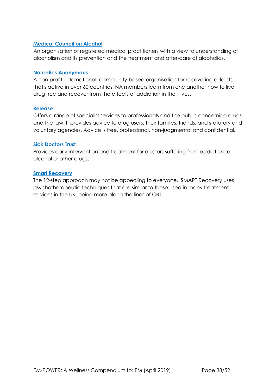#### **[Medical](http://www.m-c-a.org.uk/) [Council](http://www.m-c-a.org.uk/) [on](http://www.m-c-a.org.uk/) [Alcohol](http://www.m-c-a.org.uk/)**

An organisation of registered medical practitioners with a view to understanding of alcoholism and its prevention and the treatment and after-care of alcoholics.

#### **[Narcotics](http://www.ukna.org/) [Anonymous](http://www.ukna.org/)**

A non-profit, international, community-based organisation for recovering addicts that's active in over 60 countries. NA members learn from one another how to live drug free and recover from the effects of addiction in their lives.

#### **[Release](http://www.release.org.uk/)**

Offers a range of specialist services to professionals and the public concerning drugs and the law. It provides advice to drug users, their families, friends, and statutory and voluntary agencies. Advice is free, professional, non-judgmental and confidential.

#### **[Sick](http://www.sick-doctors-trust.co.uk/) [Doctors](http://www.sick-doctors-trust.co.uk/) [Trust](http://www.sick-doctors-trust.co.uk/)**

Provides early intervention and treatment for doctors suffering from addiction to alcohol or other drugs.

#### **[Smart Recovery](https://www.smartrecovery.org.uk/)**

The 12-step approach may not be appealing to everyone. SMART Recovery uses psychotherapeutic techniques that are similar to those used in many treatment services in the UK, being more along the lines of CBT.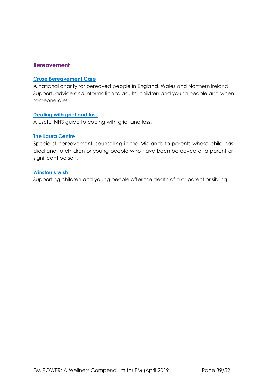### <span id="page-38-0"></span>**Bereavement**

#### **[Cruse](https://www.cruse.org.uk/) [Bereavement](https://www.cruse.org.uk/) [Care](https://www.cruse.org.uk/)**

A national charity for bereaved people in England, Wales and Northern Ireland. Support, advice and information to adults, children and young people and when someone dies.

#### **[Dealing](https://www.nhs.uk/Livewell/emotionalhealth/Pages/Dealingwithloss.aspx) [with](https://www.nhs.uk/Livewell/emotionalhealth/Pages/Dealingwithloss.aspx) [grief](https://www.nhs.uk/Livewell/emotionalhealth/Pages/Dealingwithloss.aspx) [and](https://www.nhs.uk/Livewell/emotionalhealth/Pages/Dealingwithloss.aspx) [loss](https://www.nhs.uk/Livewell/emotionalhealth/Pages/Dealingwithloss.aspx)**

A useful NHS guide to coping with grief and loss.

#### **[The Laura Centre](http://thelauracentre.org.uk/)**

Specialist bereavement counselling in the Midlands to parents whose child has died and to children or young people who have been bereaved of a parent or significant person.

#### **[Winston's](https://www.winstonswish.org/) [wish](https://www.winstonswish.org/)**

Supporting children and young people after the death of a or parent or sibling.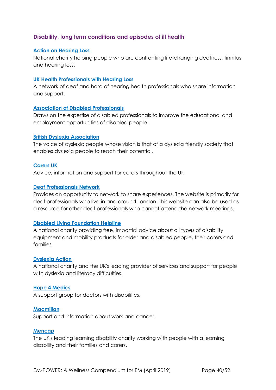## <span id="page-39-0"></span>**Disability, long term conditions and episodes of ill health**

#### **[Action](https://www.actiononhearingloss.org.uk/) [on](https://www.actiononhearingloss.org.uk/) [Hearing](https://www.actiononhearingloss.org.uk/) [Loss](https://www.actiononhearingloss.org.uk/)**

National charity helping people who are confronting life-changing deafness, tinnitus and hearing loss.

#### **[UK](http://hphl.org.uk/) [Health](http://hphl.org.uk/) [Professionals](http://hphl.org.uk/) [with](http://hphl.org.uk/) [Hearing](http://hphl.org.uk/) [Loss](http://hphl.org.uk/)**

A network of deaf and hard of hearing health professionals who share information and support.

#### **[Association](http://www.adp.org.uk/) [of](http://www.adp.org.uk/) [Disabled](http://www.adp.org.uk/) [Professionals](http://www.adp.org.uk/)**

Draws on the expertise of disabled professionals to improve the educational and employment opportunities of disabled people.

#### **[British](http://www.bdadyslexia.org.uk/) [Dyslexia](http://www.bdadyslexia.org.uk/) [Association](http://www.bdadyslexia.org.uk/)**

The voice of dyslexic people whose vision is that of a dyslexia friendly society that enables dyslexic people to reach their potential.

#### **[Carers](http://www.carersuk.org/) [UK](http://www.carersuk.org/)**

Advice, information and support for carers throughout the UK.

#### **[Deaf](http://deafprofessionals.wordpress.com/) [Professionals](http://deafprofessionals.wordpress.com/) [Network](http://deafprofessionals.wordpress.com/)**

Provides an opportunity to network to share experiences. The website is primarily for deaf professionals who live in and around London. This website can also be used as a resource for other deaf professionals who cannot attend the network meetings.

#### **[Disabled](http://www.dlf.org.uk/) [Living](http://www.dlf.org.uk/) [Foundation](http://www.dlf.org.uk/) [Helpline](http://www.dlf.org.uk/)**

A national charity providing free, impartial advice about all types of disability equipment and mobility products for older and disabled people, their carers and families.

#### **[Dyslexia](http://www.dyslexiaaction.org.uk/) [Action](http://www.dyslexiaaction.org.uk/)**

A national charity and the UK's leading provider of services and support for people with dyslexia and literacy difficulties.

#### **[Hope](http://www.hope4medics.co.uk/about.php) [4](http://www.hope4medics.co.uk/about.php) [Medics](http://www.hope4medics.co.uk/about.php)**

A support group for doctors with disabilities.

#### **[Macmillan](http://www.macmillan.org.uk/Cancerinformation/Livingwithandaftercancer/Workandcancer/Workandcancer.aspx)**

Support and information about work and cancer.

#### **[Mencap](http://www.mencap.org.uk/)**

The UK's leading learning disability charity working with people with a learning disability and their families and carers.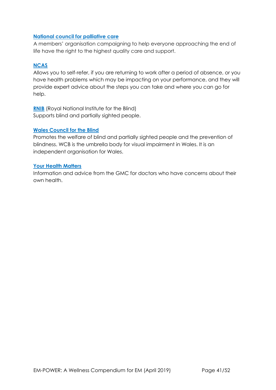#### **[National council for palliative care](http://www.ncpc.org.uk/)**

A members' organisation campaigning to help everyone approaching the end of life have the right to the highest quality care and support.

### **[NCAS](http://www.ncas.nhs.uk/accessing-case-services/case-services-overview/)**

Allows you to self-refer, if you are returning to work after a period of absence, or you have health problems which may be impacting on your performance, and they will provide expert advice about the steps you can take and where you can go for help.

**[RNIB](http://www.rnib.org.uk/)** (Royal National Institute for the Blind) Supports blind and partially sighted people.

#### **[Wales](http://www.wcb-ccd.org.uk/index2.php) [Council](http://www.wcb-ccd.org.uk/index2.php) [for](http://www.wcb-ccd.org.uk/index2.php) [the](http://www.wcb-ccd.org.uk/index2.php) [Blind](http://www.wcb-ccd.org.uk/index2.php)**

Promotes the welfare of blind and partially sighted people and the prevention of blindness. WCB is the umbrella body for visual impairment in Wales. It is an independent organisation for Wales.

#### **[Your Health Matters](http://www.gmc-uk.org/doctorshealth)**

Information and advice from the GMC for doctors who have concerns about their own health.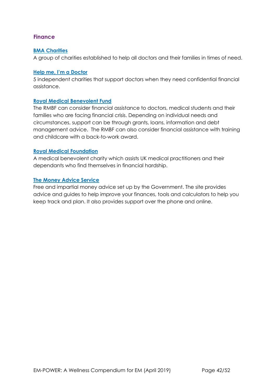## <span id="page-41-0"></span>**Finance**

#### **[BMA](http://www.bma.org.uk/about-the-bma/what-we-do/bma-charities) [Charities](http://www.bma.org.uk/about-the-bma/what-we-do/bma-charities)**

A group of charities established to help all doctors and their families in times of need.

#### **[Help](http://www.doctorshelp.org.uk/) [me,](http://www.doctorshelp.org.uk/) [I'm](http://www.doctorshelp.org.uk/) [a](http://www.doctorshelp.org.uk/) [Doctor](http://www.doctorshelp.org.uk/)**

5 independent charities that support doctors when they need confidential financial assistance.

#### **[Royal](http://www.rmbf.org/) [Medical](http://www.rmbf.org/) [Benevolent](http://www.rmbf.org/) [Fund](http://www.rmbf.org/)**

The RMBF can consider financial assistance to doctors, medical students and their families who are facing financial crisis. Depending on individual needs and circumstances, support can be through grants, loans, information and debt management advice. The RMBF can also consider financial assistance with training and childcare with a back-to-work award.

#### **[Royal](http://www.royalmedicalfoundation.org/) [Medical](http://www.royalmedicalfoundation.org/) [Foundation](http://www.royalmedicalfoundation.org/)**

A medical benevolent charity which assists UK medical practitioners and their dependants who find themselves in financial hardship.

#### **[The](https://www.moneyadviceservice.org.uk/en) [Money](https://www.moneyadviceservice.org.uk/en) [Advice](https://www.moneyadviceservice.org.uk/en) [Service](https://www.moneyadviceservice.org.uk/en)**

Free and impartial money advice set up by the Government. The site provides advice and guides to help improve your finances, tools and calculators to help you keep track and plan. It also provides support over the phone and online.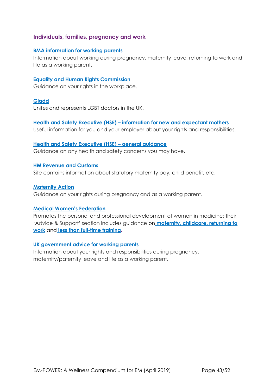### <span id="page-42-0"></span>**Individuals, families, pregnancy and work**

#### **[BMA information for working parents](http://bma.org.uk/maternity)**

Information about working during pregnancy, maternity leave, returning to work and life as a working parent.

#### **[Equality and Human Rights Commission](http://equalityhumanrights.com/)**

Guidance on your rights in the workplace.

#### **[Gladd](http://www.gladd.co.uk/)**

Unites and represents LGBT doctors in the UK.

## **[Health and Safety Executive \(HSE\)](http://www.hse.gov.uk/mothers/) [–](http://www.hse.gov.uk/mothers/) [information for new and expectant mothers](http://www.hse.gov.uk/mothers/)**

Useful information for you and your employer about your rights and responsibilities.

#### **[Health and Safety Executive \(HSE\)](http://www.hse.gov.uk/) [–](http://www.hse.gov.uk/) [general guidance](http://www.hse.gov.uk/)**

Guidance on any health and safety concerns you may have.

#### **[HM Revenue and Customs](http://www.hmrc.gov.uk/)**

Site contains information about statutory maternity pay, child benefit, etc.

#### **[Maternity Action](http://maternityaction.org.uk/)**

Guidance on your rights during pregnancy and as a working parent.

#### **[Medical Women's Federation](http://www.medicalwomensfederation.org.uk/)**

Promotes the personal and professional development of women in medicine; their 'Advice & Support' section includes guidance on **[maternity,](http://www.medicalwomensfederation.org.uk/advice-support/maternity-advice) [childcare,](http://www.medicalwomensfederation.org.uk/advice-support/childcare-advice) [returning to](http://www.medicalwomensfederation.org.uk/advice-support/return-to-work-advice) [work](http://www.medicalwomensfederation.org.uk/advice-support/return-to-work-advice)** and **[less than full-time training.](http://www.medicalwomensfederation.org.uk/advice-support/less-than-full-time-training)**

#### **[UK government advice for working parents](https://www.gov.uk/browse/employing-people/time-off)**

Information about your rights and responsibilities during pregnancy, maternity/paternity leave and life as a working parent.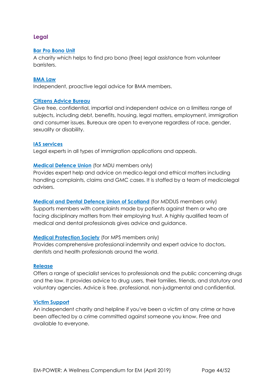## <span id="page-43-0"></span>**Legal**

#### **[Bar](https://weareadvocate.org.uk/) [Pro](https://weareadvocate.org.uk/) [Bono](https://weareadvocate.org.uk/) [Unit](https://weareadvocate.org.uk/)**

A charity which helps to find pro bono (free) legal assistance from volunteer barristers.

#### **[BMA](http://bmalaw.co.uk/) [Law](http://bmalaw.co.uk/)**

Independent, proactive legal advice for BMA members.

#### **[Citizens](https://www.citizensadvice.org.uk/) [Advice](https://www.citizensadvice.org.uk/) [Bureau](https://www.citizensadvice.org.uk/)**

Give free, confidential, impartial and independent advice on a limitless range of subjects, including debt, benefits, housing, legal matters, employment, immigration and consumer issues. Bureaux are open to everyone regardless of race, gender, sexuality or disability.

#### **[IAS](https://iasservices.org.uk/) [services](https://iasservices.org.uk/)**

Legal experts in all types of immigration applications and appeals.

#### **[Medical](http://www.themdu.com/) [Defence](http://www.themdu.com/) [Union](http://www.themdu.com/)** (for MDU members only)

Provides expert help and advice on medico-legal and ethical matters including handling complaints, claims and GMC cases. It is staffed by a team of medicolegal advisers.

**[Medical](http://www.mddus.com/) [and](http://www.mddus.com/) [Dental](http://www.mddus.com/) [Defence](http://www.mddus.com/) [Union](http://www.mddus.com/) [of](http://www.mddus.com/) [Scotland](http://www.mddus.com/)** (for MDDUS members only) Supports members with complaints made by patients against them or who are facing disciplinary matters from their employing trust. A highly qualified team of medical and dental professionals gives advice and guidance.

#### **[Medical](http://www.medicalprotection.org/uk) [Protection](http://www.medicalprotection.org/uk) [Society](http://www.medicalprotection.org/uk)** (for MPS members only)

Provides comprehensive professional indemnity and expert advice to doctors, dentists and health professionals around the world.

#### **[Release](http://www.release.org.uk/)**

Offers a range of specialist services to professionals and the public concerning drugs and the law. It provides advice to drug users, their families, friends, and statutory and voluntary agencies. Advice is free, professional, non-judgmental and confidential.

#### **[Victim](http://www.victimsupport.org.uk/) [Support](http://www.victimsupport.org.uk/)**

An independent charity and helpline if you've been a victim of any crime or have been affected by a crime committed against someone you know. Free and available to everyone.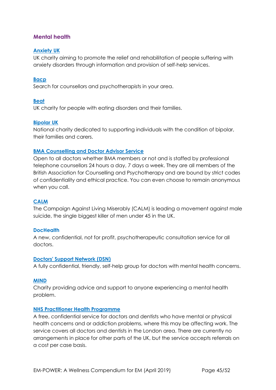## <span id="page-44-0"></span>**Mental health**

#### **[Anxiety](http://www.anxietyuk.org.uk/) [UK](http://www.anxietyuk.org.uk/)**

UK charity aiming to promote the relief and rehabilitation of people suffering with anxiety disorders through information and provision of self-help services.

#### **[Bacp](https://www.bacp.co.uk/)**

Search for counsellors and psychotherapists in your area.

#### **[Beat](http://www.b-eat.co.uk/Home)**

UK charity for people with eating disorders and their families.

#### **[Bipolar](https://www.bipolaruk.org/) [UK](https://www.bipolaruk.org/)**

National charity dedicated to supporting individuals with the condition of bipolar, their families and carers.

#### **[BMA Counselling and Doctor Advisor Service](https://www.bma.org.uk/advice/work-life-support/your-wellbeing/bma-counselling-and-doctor-advisor-service)**

Open to all doctors whether BMA members or not and is staffed by professional telephone counsellors 24 hours a day, 7 days a week. They are all members of the British Association for Counselling and Psychotherapy and are bound by strict codes of confidentiality and ethical practice. You can even choose to remain anonymous when you call.

#### **[CALM](https://www.thecalmzone.net/)**

The Campaign Against Living Miserably (CALM) is leading a movement against male suicide, the single biggest killer of men under 45 in the UK.

#### **[DocHealth](http://www.dochealth.org.uk/)**

A new, confidential, not for profit, psychotherapeutic consultation service for all doctors.

#### **[Doctors'](http://www.dsn.org.uk/) [Support](http://www.dsn.org.uk/) [Network](http://www.dsn.org.uk/) [\(DSN\)](http://www.dsn.org.uk/)**

A fully confidential, friendly, self-help group for doctors with mental health concerns.

#### **[MIND](http://www.mind.org.uk/)**

Charity providing advice and support to anyone experiencing a mental health problem.

#### **[NHS](http://www.php.nhs.uk/) [Practitioner](http://www.php.nhs.uk/) [Health](http://www.php.nhs.uk/) [Programme](http://www.php.nhs.uk/)**

A free, confidential service for doctors and dentists who have mental or physical health concerns and or addiction problems, where this may be affecting work. The service covers all doctors and dentists in the London area. There are currently no arrangements in place for other parts of the UK, but the service accepts referrals on a cost per case basis.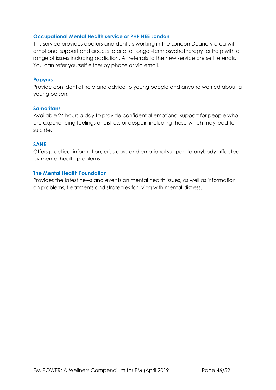#### **[Occupational](http://www.lpmde.ac.uk/professional-development/php-hee) [Mental](http://www.lpmde.ac.uk/professional-development/php-hee) [Health](http://www.lpmde.ac.uk/professional-development/php-hee) [service](http://www.lpmde.ac.uk/professional-development/php-hee) [or](http://www.lpmde.ac.uk/professional-development/php-hee) [PHP](http://www.lpmde.ac.uk/professional-development/php-hee) [HEE](http://www.lpmde.ac.uk/professional-development/php-hee) [London](http://www.lpmde.ac.uk/professional-development/php-hee)**

This service provides doctors and dentists working in the London Deanery area with emotional support and access to brief or longer-term psychotherapy for help with a range of issues including addiction. All referrals to the new service are self referrals. You can refer yourself either by phone or via email.

#### **[Papyrus](http://www.papyrus-uk.org/)**

Provide confidential help and advice to young people and anyone worried about a young person.

#### **[Samaritans](http://www.samaritans.org/)**

Available 24 hours a day to provide confidential emotional support for people who are experiencing feelings of distress or despair, including those which may lead to suicide**.** 

#### **[SANE](http://www.sane.org.uk/)**

Offers practical information, crisis care and emotional support to anybody affected by mental health problems.

#### **[The](http://www.mentalhealth.org.uk/) [Mental](http://www.mentalhealth.org.uk/) [Health](http://www.mentalhealth.org.uk/) [Foundation](http://www.mentalhealth.org.uk/)**

Provides the latest news and events on mental health issues, as well as information on problems, treatments and strategies for living with mental distress.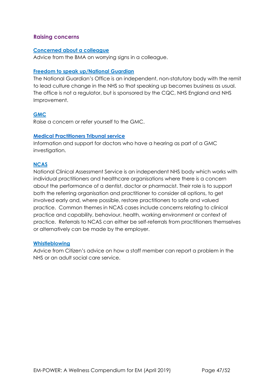#### <span id="page-46-0"></span>**Raising concerns**

#### **[Concerned about a colleague](https://www.bma.org.uk/advice/work-life-support/your-wellbeing/concerned-about-a-colleague/worrying-signs)**

Advice from the BMA on worrying signs in a colleague.

#### **[Freedom to speak up/National Guardian](https://www.cqc.org.uk/national-guardians-office/content/national-guardians-office)**

The National Guardian's Office is an independent, non-statutory body with the remit to lead culture change in the NHS so that speaking up becomes business as usual. The office is not a regulator, but is sponsored by the CQC, NHS England and NHS Improvement.

#### **[GMC](https://www.gmc-uk.org/concerns/raise-a-concern-about-a-doctor)**

Raise a concern or refer yourself to the GMC.

#### **[Medical](http://www.mpts-uk.org/hearing/11905.asp) [Practitioners](http://www.mpts-uk.org/hearing/11905.asp) [Tribunal](http://www.mpts-uk.org/hearing/11905.asp) [service](http://www.mpts-uk.org/hearing/11905.asp)**

Information and support for doctors who have a hearing as part of a GMC investigation.

#### **[NCAS](https://www.ncas.nhs.uk/)**

National Clinical Assessment Service is an independent NHS body which works with individual practitioners and healthcare organisations where there is a concern about the performance of a dentist, doctor or pharmacist. Their role is to support both the referring organisation and practitioner to consider all options, to get involved early and, where possible, restore practitioners to safe and valued practice. Common themes in NCAS cases include concerns relating to clinical practice and capability, behaviour, health, working environment or context of practice. Referrals to NCAS can either be self-referrals from practitioners themselves or alternatively can be made by the employer.

#### **[Whistleblowing](https://www.citizensadvice.org.uk/health/nhs-and-social-care-complaints/whistleblowing-how-a-staff-member-can-report-a-problem-in-the-nhs-or-an-adult-social-care-service)**

Advice from Citizen's advice on how a staff member can report a problem in the NHS or an adult social care service.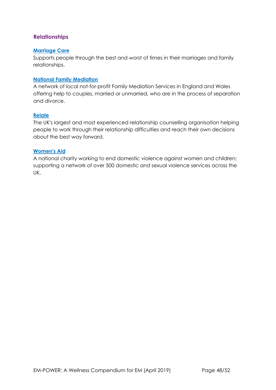## <span id="page-47-0"></span>**Relationships**

#### **[Marriage](http://www.marriagecare.org.uk/) [Care](http://www.marriagecare.org.uk/)**

Supports people through the best and worst of times in their marriages and family relationships.

#### **[National](http://www.nfm.org.uk/) [Family](http://www.nfm.org.uk/) [Mediation](http://www.nfm.org.uk/)**

A network of local not-for-profit Family Mediation Services in England and Wales offering help to couples, married or unmarried, who are in the process of separation and divorce.

#### **[Relate](http://www.relate.org.uk/)**

The UK's largest and most experienced relationship counselling organisation helping people to work through their relationship difficulties and reach their own decisions about the best way forward.

#### **[Women's](https://www.google.com/search?q=women%27s+aid&rlz=1C1CHBF_en-GBGB773GB773&oq=wom&aqs=chrome.0.69i59j69i57j69i60j0l3.3495j0j8&sourceid=chrome&ie=UTF-8) [Aid](https://www.google.com/search?q=women%27s+aid&rlz=1C1CHBF_en-GBGB773GB773&oq=wom&aqs=chrome.0.69i59j69i57j69i60j0l3.3495j0j8&sourceid=chrome&ie=UTF-8)**

A national charity working to end domestic violence against women and children; supporting a network of over 500 domestic and sexual violence services across the UK.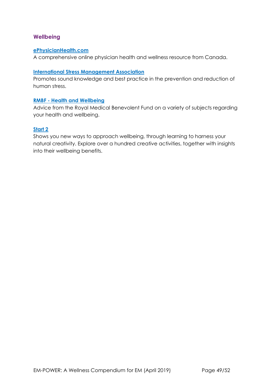### <span id="page-48-0"></span>**Wellbeing**

#### **[ePhysicianHealth.com](http://ephysicianhealth.com/)**

A comprehensive online physician health and wellness resource from Canada.

#### **[International Stress Management Association](http://www.isma.org.uk/)**

Promotes sound knowledge and best practice in the prevention and reduction of human stress.

#### **[RMBF -](http://www.rmbf.org/health-and-wellbeing/) [Health and Wellbeing](http://www.rmbf.org/health-and-wellbeing/)**

Advice from the Royal Medical Benevolent Fund on a variety of subjects regarding your health and wellbeing.

#### **[Start 2](http://www.start2.co.uk/)**

Shows you new ways to approach wellbeing, through learning to harness your natural creativity. Explore over a hundred creative activities, together with insights into their wellbeing benefits.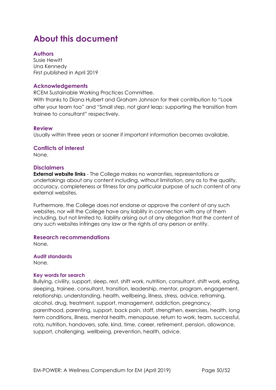## **About this document**

### **Authors**

Susie Hewitt Una Kennedy First published in April 2019

#### **Acknowledgements**

RCEM Sustainable Working Practices Committee.

With thanks to Diana Hulbert and Graham Johnson for their contribution to "Look after your team too" and "Small step, not giant leap: supporting the transition from trainee to consultant" respectively.

#### **Review**

Usually within three years or sooner if important information becomes available.

#### **Conflicts of interest**

None.

#### **Disclaimers**

**External website links** - The College makes no warranties, representations or undertakings about any content including, without limitation, any as to the quality, accuracy, completeness or fitness for any particular purpose of such content of any external websites.

Furthermore, the College does not endorse or approve the content of any such websites, nor will the College have any liability in connection with any of them including, but not limited to, liability arising out of any allegation that the content of any such websites infringes any law or the rights of any person or entity.

#### **Research recommendations**

None.

**Audit standards**  None.

#### **Key words for search**

Bullying, civility, support, sleep, rest, shift work, nutrition, consultant, shift work, eating, sleeping, trainee, consultant, transition, leadership, mentor, program, engagement, relationship, understanding, health, wellbeing, illness, stress, advice, reframing, alcohol, drug, treatment, support, management, addiction, pregnancy, parenthood, parenting, support, back pain, staff, strengthen, exercises, health, long term conditions, illness, mental health, menopause, return to work, team, successful, rota, nutrition, handovers, safe, kind, time, career, retirement, pension, allowance, support, challenging, wellbeing, prevention, health, advice.